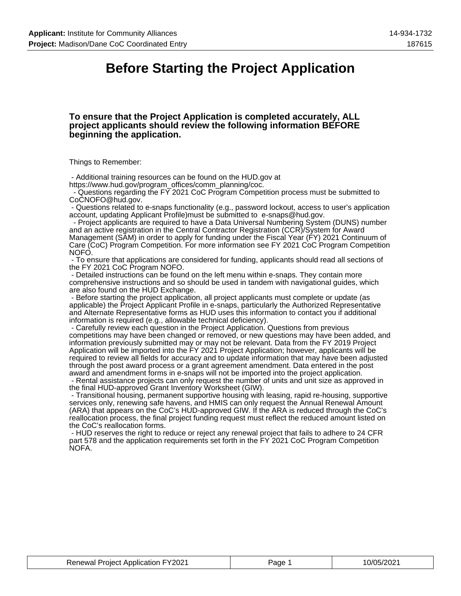# **Before Starting the Project Application**

#### **To ensure that the Project Application is completed accurately, ALL project applicants should review the following information BEFORE beginning the application.**

Things to Remember:

 - Additional training resources can be found on the HUD.gov at https://www.hud.gov/program\_offices/comm\_planning/coc.

 - Questions regarding the FY 2021 CoC Program Competition process must be submitted to CoCNOFO@hud.gov.

 - Questions related to e-snaps functionality (e.g., password lockout, access to user's application account, updating Applicant Profile)must be submitted to e-snaps@hud.gov.

 - Project applicants are required to have a Data Universal Numbering System (DUNS) number and an active registration in the Central Contractor Registration (CCR)/System for Award Management (SAM) in order to apply for funding under the Fiscal Year (FY) 2021 Continuum of Care (CoC) Program Competition. For more information see FY 2021 CoC Program Competition NOFO.

 - To ensure that applications are considered for funding, applicants should read all sections of the FY 2021 CoC Program NOFO.

 - Detailed instructions can be found on the left menu within e-snaps. They contain more comprehensive instructions and so should be used in tandem with navigational guides, which are also found on the HUD Exchange.

 - Before starting the project application, all project applicants must complete or update (as applicable) the Project Applicant Profile in e-snaps, particularly the Authorized Representative and Alternate Representative forms as HUD uses this information to contact you if additional information is required (e.g., allowable technical deficiency).

 - Carefully review each question in the Project Application. Questions from previous competitions may have been changed or removed, or new questions may have been added, and information previously submitted may or may not be relevant. Data from the FY 2019 Project Application will be imported into the FY 2021 Project Application; however, applicants will be required to review all fields for accuracy and to update information that may have been adjusted through the post award process or a grant agreement amendment. Data entered in the post award and amendment forms in e-snaps will not be imported into the project application.

 - Rental assistance projects can only request the number of units and unit size as approved in the final HUD-approved Grant Inventory Worksheet (GIW).

 - Transitional housing, permanent supportive housing with leasing, rapid re-housing, supportive services only, renewing safe havens, and HMIS can only request the Annual Renewal Amount (ARA) that appears on the CoC's HUD-approved GIW. If the ARA is reduced through the CoC's reallocation process, the final project funding request must reflect the reduced amount listed on the CoC's reallocation forms.

 - HUD reserves the right to reduce or reject any renewal project that fails to adhere to 24 CFR part 578 and the application requirements set forth in the FY 2021 CoC Program Competition NOFA.

| <b>Renewal Project Application FY2021</b> | Page | 10/05/2021 |
|-------------------------------------------|------|------------|
|-------------------------------------------|------|------------|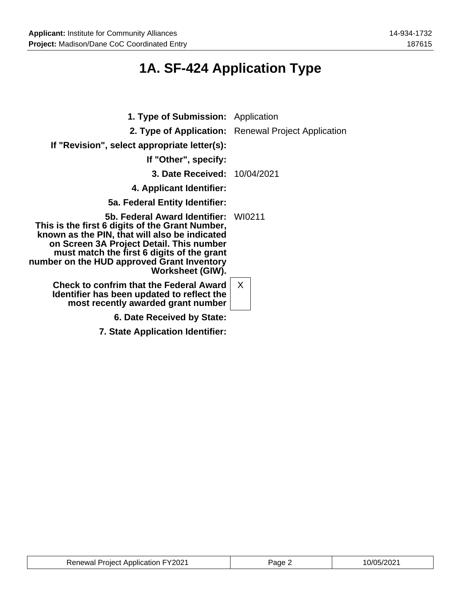# **1A. SF-424 Application Type**

| <b>1. Type of Submission:</b> Application                                                                                                                                                                                                                                                            |                                                     |
|------------------------------------------------------------------------------------------------------------------------------------------------------------------------------------------------------------------------------------------------------------------------------------------------------|-----------------------------------------------------|
|                                                                                                                                                                                                                                                                                                      | 2. Type of Application: Renewal Project Application |
| If "Revision", select appropriate letter(s):                                                                                                                                                                                                                                                         |                                                     |
| If "Other", specify:                                                                                                                                                                                                                                                                                 |                                                     |
| <b>3. Date Received: 10/04/2021</b>                                                                                                                                                                                                                                                                  |                                                     |
| 4. Applicant Identifier:                                                                                                                                                                                                                                                                             |                                                     |
| 5a. Federal Entity Identifier:                                                                                                                                                                                                                                                                       |                                                     |
| 5b. Federal Award Identifier: WI0211<br>This is the first 6 digits of the Grant Number,<br>known as the PIN, that will also be indicated<br>on Screen 3A Project Detail. This number<br>must match the first 6 digits of the grant<br>number on the HUD approved Grant Inventory<br>Worksheet (GIW). |                                                     |
| <b>Check to confrim that the Federal Award</b><br>Identifier has been updated to reflect the<br>most recently awarded grant number                                                                                                                                                                   | $\mathsf{X}$                                        |
| 6. Date Received by State:                                                                                                                                                                                                                                                                           |                                                     |
| 7. State Application Identifier:                                                                                                                                                                                                                                                                     |                                                     |

| <b>Renewal Project Application FY2021</b> | Page 2 | 10/05/2021 |
|-------------------------------------------|--------|------------|
|-------------------------------------------|--------|------------|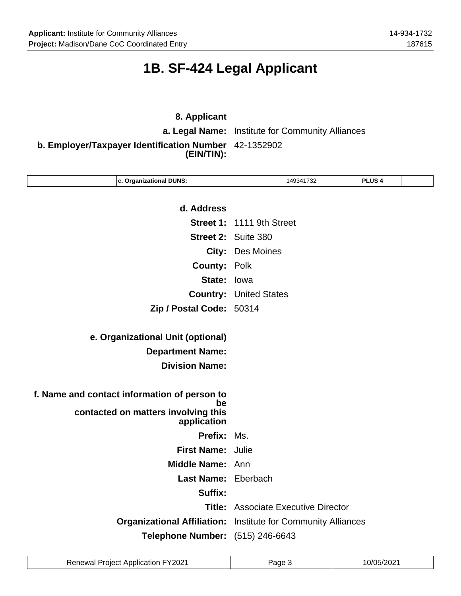# **1B. SF-424 Legal Applicant**

# **8. Applicant**

**a. Legal Name:** Institute for Community Alliances

**b. Employer/Taxpayer Identification Number** 42-1352902 **(EIN/TIN):**

| c. Organizational DUNS:                                              |                  | 149341732                                  | <b>PLUS4</b> |  |
|----------------------------------------------------------------------|------------------|--------------------------------------------|--------------|--|
|                                                                      |                  |                                            |              |  |
| d. Address                                                           |                  |                                            |              |  |
| Street 1: 1111 9th Street                                            |                  |                                            |              |  |
| <b>Street 2: Suite 380</b>                                           |                  |                                            |              |  |
|                                                                      | City: Des Moines |                                            |              |  |
| <b>County: Polk</b>                                                  |                  |                                            |              |  |
| State: lowa                                                          |                  |                                            |              |  |
| <b>Country: United States</b>                                        |                  |                                            |              |  |
| Zip / Postal Code: 50314                                             |                  |                                            |              |  |
|                                                                      |                  |                                            |              |  |
| e. Organizational Unit (optional)                                    |                  |                                            |              |  |
| <b>Department Name:</b>                                              |                  |                                            |              |  |
| <b>Division Name:</b>                                                |                  |                                            |              |  |
|                                                                      |                  |                                            |              |  |
| f. Name and contact information of person to                         |                  |                                            |              |  |
| be<br>contacted on matters involving this                            |                  |                                            |              |  |
| application                                                          |                  |                                            |              |  |
| Prefix: Ms.                                                          |                  |                                            |              |  |
| <b>First Name:</b>                                                   | Julie            |                                            |              |  |
| Middle Name: Ann                                                     |                  |                                            |              |  |
| Last Name: Eberbach                                                  |                  |                                            |              |  |
| Suffix:                                                              |                  |                                            |              |  |
|                                                                      |                  | <b>Title:</b> Associate Executive Director |              |  |
| <b>Organizational Affiliation:</b> Institute for Community Alliances |                  |                                            |              |  |
| Telephone Number: (515) 246-6643                                     |                  |                                            |              |  |

| <b>Renewal Project Application FY2021</b> | Page 3 | 10/05/2021 |
|-------------------------------------------|--------|------------|
|-------------------------------------------|--------|------------|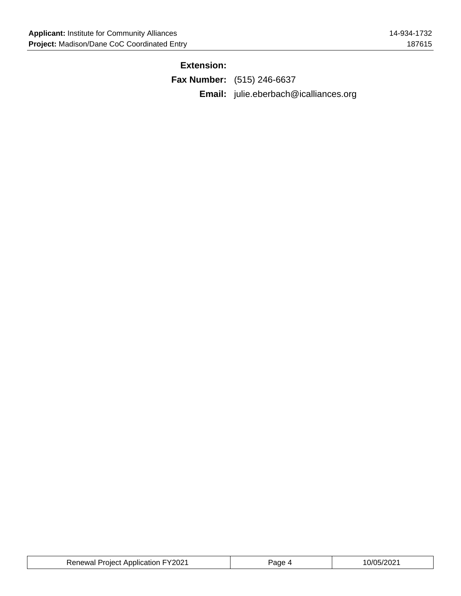### **Extension:**

**Fax Number:** (515) 246-6637 **Email:** julie.eberbach@icalliances.org

| <b>Renewal Project Application FY2021</b> | 'age | 10/05/2021 |
|-------------------------------------------|------|------------|
|-------------------------------------------|------|------------|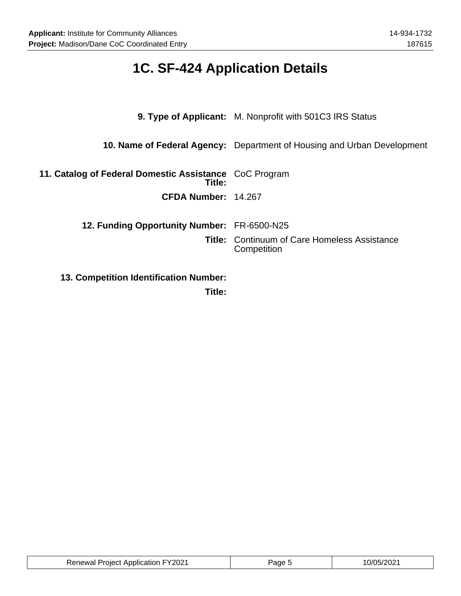# **1C. SF-424 Application Details**

|                                                                  | <b>9. Type of Applicant:</b> M. Nonprofit with 501C3 IRS Status         |  |
|------------------------------------------------------------------|-------------------------------------------------------------------------|--|
|                                                                  | 10. Name of Federal Agency: Department of Housing and Urban Development |  |
| 11. Catalog of Federal Domestic Assistance CoC Program<br>Title: |                                                                         |  |
| CFDA Number: 14.267                                              |                                                                         |  |
| 12. Funding Opportunity Number: FR-6500-N25                      |                                                                         |  |
|                                                                  | <b>Title: Continuum of Care Homeless Assistance</b><br>Competition      |  |
| <b>13. Competition Identification Number:</b>                    |                                                                         |  |

**Title:**

| auon FY2021 بان<br>Proiect Annlication.<br>Renewal |  |  |
|----------------------------------------------------|--|--|
|----------------------------------------------------|--|--|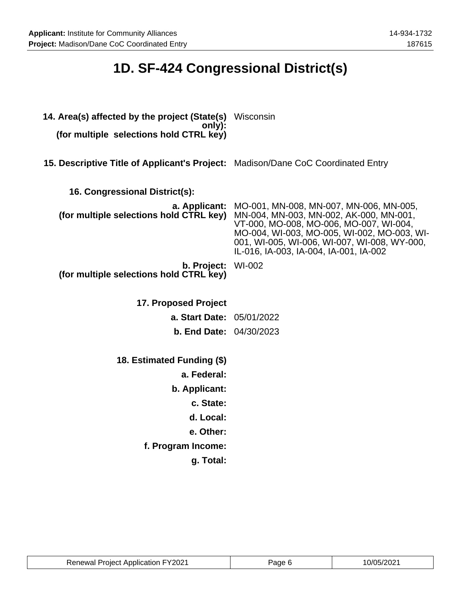# **1D. SF-424 Congressional District(s)**

| 14. Area(s) affected by the project (State(s) Wisconsin<br>only):<br>(for multiple selections hold CTRL key) |                                                                                                                                                                                                                                                                        |
|--------------------------------------------------------------------------------------------------------------|------------------------------------------------------------------------------------------------------------------------------------------------------------------------------------------------------------------------------------------------------------------------|
| 15. Descriptive Title of Applicant's Project: Madison/Dane CoC Coordinated Entry                             |                                                                                                                                                                                                                                                                        |
| 16. Congressional District(s):                                                                               |                                                                                                                                                                                                                                                                        |
| a. Applicant:<br>(for multiple selections hold CTRL key)                                                     | MO-001, MN-008, MN-007, MN-006, MN-005,<br>MN-004, MN-003, MN-002, AK-000, MN-001,<br>VT-000, MO-008, MO-006, MO-007, WI-004,<br>MO-004, WI-003, MO-005, WI-002, MO-003, WI-<br>001, WI-005, WI-006, WI-007, WI-008, WY-000,<br>IL-016, IA-003, IA-004, IA-001, IA-002 |
| b. Project: WI-002<br>(for multiple selections hold CTRL key)                                                |                                                                                                                                                                                                                                                                        |
| 17. Proposed Project                                                                                         |                                                                                                                                                                                                                                                                        |
| <b>a. Start Date: 05/01/2022</b>                                                                             |                                                                                                                                                                                                                                                                        |
| <b>b. End Date: 04/30/2023</b>                                                                               |                                                                                                                                                                                                                                                                        |
| 18. Estimated Funding (\$)                                                                                   |                                                                                                                                                                                                                                                                        |
| a. Federal:                                                                                                  |                                                                                                                                                                                                                                                                        |
| b. Applicant:                                                                                                |                                                                                                                                                                                                                                                                        |
| c. State:                                                                                                    |                                                                                                                                                                                                                                                                        |
| d. Local:                                                                                                    |                                                                                                                                                                                                                                                                        |
| e. Other:                                                                                                    |                                                                                                                                                                                                                                                                        |
| f. Program Income:                                                                                           |                                                                                                                                                                                                                                                                        |
| g. Total:                                                                                                    |                                                                                                                                                                                                                                                                        |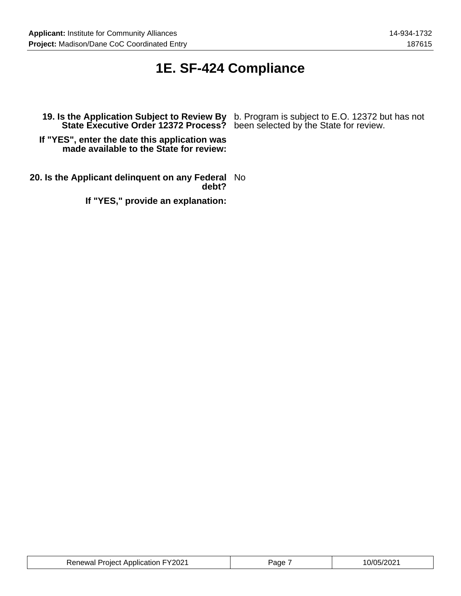# **1E. SF-424 Compliance**

**If "YES", enter the date this application was made available to the State for review:**

**20. Is the Applicant delinquent on any Federal** No **debt?**

**If "YES," provide an explanation:**

**19. Is the Application Subject to Review By** b. Program is subject to E.O. 12372 but has not **State Executive Order 12372 Process?** been selected by the State for review.

| <b>Renewal Project Application FY2021</b> | Page | /2021 |
|-------------------------------------------|------|-------|
|-------------------------------------------|------|-------|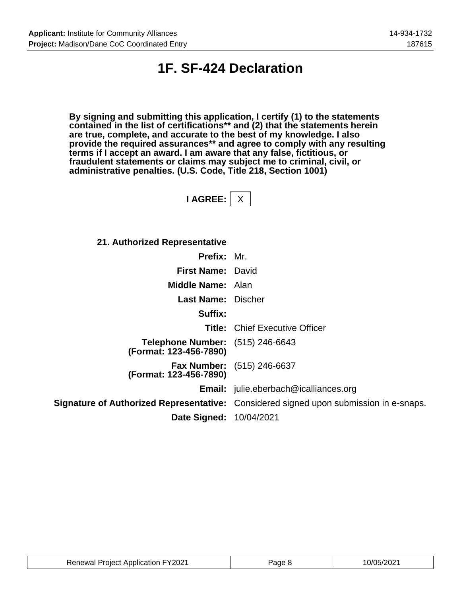# **1F. SF-424 Declaration**

**By signing and submitting this application, I certify (1) to the statements contained in the list of certifications\*\* and (2) that the statements herein are true, complete, and accurate to the best of my knowledge. I also provide the required assurances\*\* and agree to comply with any resulting terms if I accept an award. I am aware that any false, fictitious, or fraudulent statements or claims may subject me to criminal, civil, or administrative penalties. (U.S. Code, Title 218, Section 1001)**

**I AGREE:** X

**21. Authorized Representative**

| Prefix: Mr.                                                       |                                                                                       |
|-------------------------------------------------------------------|---------------------------------------------------------------------------------------|
| <b>First Name: David</b>                                          |                                                                                       |
| <b>Middle Name: Alan</b>                                          |                                                                                       |
| <b>Last Name: Discher</b>                                         |                                                                                       |
| Suffix:                                                           |                                                                                       |
|                                                                   | <b>Title:</b> Chief Executive Officer                                                 |
| <b>Telephone Number:</b> (515) 246-6643<br>(Format: 123-456-7890) |                                                                                       |
| (Format: 123-456-7890)                                            | <b>Fax Number:</b> (515) 246-6637                                                     |
|                                                                   | <b>Email:</b> julie.eberbach@icalliances.org                                          |
|                                                                   | Signature of Authorized Representative: Considered signed upon submission in e-snaps. |
| <b>Date Signed: 10/04/2021</b>                                    |                                                                                       |

| <b>Renewal Project Application FY2021</b> | Page P | 10/05/2021 |
|-------------------------------------------|--------|------------|
|-------------------------------------------|--------|------------|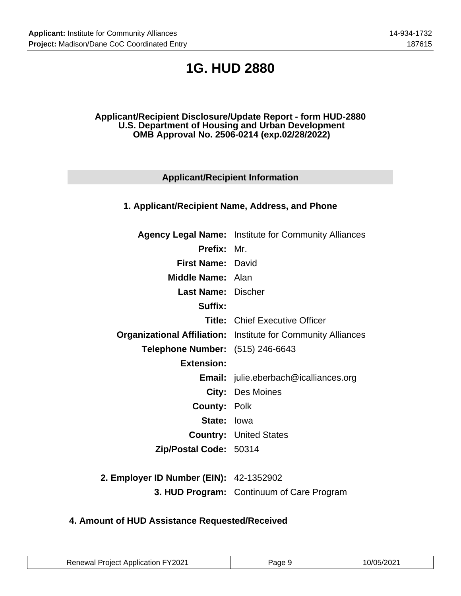# **1G. HUD 2880**

### **Applicant/Recipient Disclosure/Update Report - form HUD-2880 U.S. Department of Housing and Urban Development OMB Approval No. 2506-0214 (exp.02/28/2022)**

### **Applicant/Recipient Information**

### **1. Applicant/Recipient Name, Address, and Phone**

|                                     | <b>Agency Legal Name:</b> Institute for Community Alliances          |
|-------------------------------------|----------------------------------------------------------------------|
| Prefix: Mr.                         |                                                                      |
| <b>First Name: David</b>            |                                                                      |
| <b>Middle Name: Alan</b>            |                                                                      |
| <b>Last Name: Discher</b>           |                                                                      |
| Suffix:                             |                                                                      |
|                                     | <b>Title: Chief Executive Officer</b>                                |
|                                     | <b>Organizational Affiliation:</b> Institute for Community Alliances |
| Telephone Number: (515) 246-6643    |                                                                      |
| <b>Extension:</b>                   |                                                                      |
|                                     | <b>Email:</b> julie.eberbach@icalliances.org                         |
|                                     | <b>City: Des Moines</b>                                              |
| <b>County: Polk</b>                 |                                                                      |
| <b>State: lowa</b>                  |                                                                      |
|                                     | <b>Country: United States</b>                                        |
| Zip/Postal Code: 50314              |                                                                      |
|                                     |                                                                      |
| mnlover ID Number (FIN): 42-1352902 |                                                                      |

**2. Employer ID Number (EIN):** 42-1352902 **3. HUD Program:** Continuum of Care Program

### **4. Amount of HUD Assistance Requested/Received**

| <b>Renewal Project Application FY2021</b> | Page 9 | 10/05/2021 |
|-------------------------------------------|--------|------------|
|-------------------------------------------|--------|------------|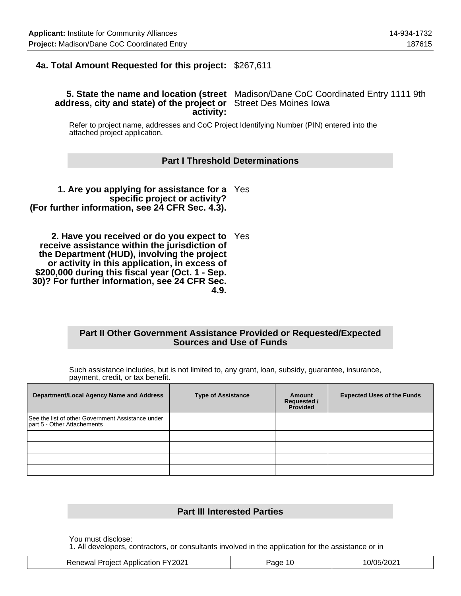### **4a. Total Amount Requested for this project:** \$267,611

#### **5. State the name and location (street** Madison/Dane CoC Coordinated Entry 1111 9th **address, city and state) of the project or** Street Des Moines Iowa **activity:**

Refer to project name, addresses and CoC Project Identifying Number (PIN) entered into the attached project application.

#### **Part I Threshold Determinations**

**1. Are you applying for assistance for a** Yes **specific project or activity? (For further information, see 24 CFR Sec. 4.3).**

**2. Have you received or do you expect to** Yes **receive assistance within the jurisdiction of the Department (HUD), involving the project or activity in this application, in excess of \$200,000 during this fiscal year (Oct. 1 - Sep. 30)? For further information, see 24 CFR Sec. 4.9.**

#### **Part II Other Government Assistance Provided or Requested/Expected Sources and Use of Funds**

Such assistance includes, but is not limited to, any grant, loan, subsidy, guarantee, insurance, payment, credit, or tax benefit.

| Department/Local Agency Name and Address                                         | <b>Type of Assistance</b> | Amount<br><b>Requested /<br/>Provided</b> | <b>Expected Uses of the Funds</b> |
|----------------------------------------------------------------------------------|---------------------------|-------------------------------------------|-----------------------------------|
| See the list of other Government Assistance under<br>part 5 - Other Attachements |                           |                                           |                                   |
|                                                                                  |                           |                                           |                                   |
|                                                                                  |                           |                                           |                                   |
|                                                                                  |                           |                                           |                                   |
|                                                                                  |                           |                                           |                                   |

### **Part III Interested Parties**

You must disclose:

1. All developers, contractors, or consultants involved in the application for the assistance or in

| <b>Renewal Project Application FY2021</b> | Page 10 | 10/05/2021 |
|-------------------------------------------|---------|------------|
|-------------------------------------------|---------|------------|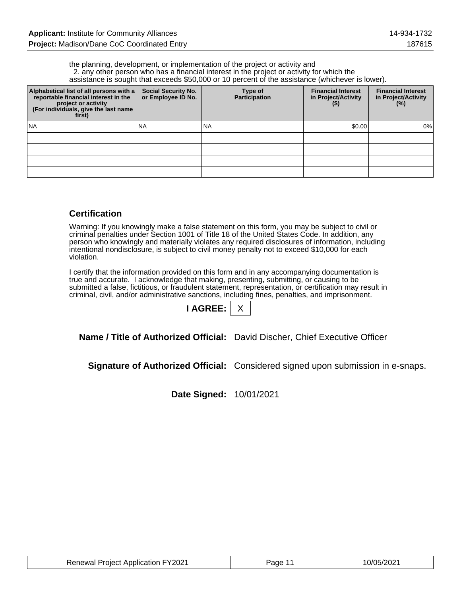the planning, development, or implementation of the project or activity and 2. any other person who has a financial interest in the project or activity for which the assistance is sought that exceeds \$50,000 or 10 percent of the assistance (whichever is lower).

| Alphabetical list of all persons with a<br>reportable financial interest in the<br>project or activity<br>(For individuals, give the last name<br>first) | <b>Social Security No.</b><br>or Employee ID No. | Type of<br>Participation | <b>Financial Interest</b><br>in Project/Activity<br>$($ \$) | <b>Financial Interest</b><br>in Project/Activity<br>(%) |
|----------------------------------------------------------------------------------------------------------------------------------------------------------|--------------------------------------------------|--------------------------|-------------------------------------------------------------|---------------------------------------------------------|
| l NA                                                                                                                                                     | <b>NA</b>                                        | <b>NA</b>                | \$0.00                                                      | 0%                                                      |
|                                                                                                                                                          |                                                  |                          |                                                             |                                                         |
|                                                                                                                                                          |                                                  |                          |                                                             |                                                         |
|                                                                                                                                                          |                                                  |                          |                                                             |                                                         |
|                                                                                                                                                          |                                                  |                          |                                                             |                                                         |

#### **Certification**

Warning: If you knowingly make a false statement on this form, you may be subject to civil or criminal penalties under Section 1001 of Title 18 of the United States Code. In addition, any person who knowingly and materially violates any required disclosures of information, including intentional nondisclosure, is subject to civil money penalty not to exceed \$10,000 for each violation.

I certify that the information provided on this form and in any accompanying documentation is true and accurate. I acknowledge that making, presenting, submitting, or causing to be submitted a false, fictitious, or fraudulent statement, representation, or certification may result in criminal, civil, and/or administrative sanctions, including fines, penalties, and imprisonment.

| <b>AGRE</b> |
|-------------|
|-------------|

**Name / Title of Authorized Official:** David Discher, Chief Executive Officer

**Signature of Authorized Official:** Considered signed upon submission in e-snaps.

**Date Signed:** 10/01/2021

| <b>Renewal Project Application FY2021</b> | Page 11 | 10/05/2021 |
|-------------------------------------------|---------|------------|
|-------------------------------------------|---------|------------|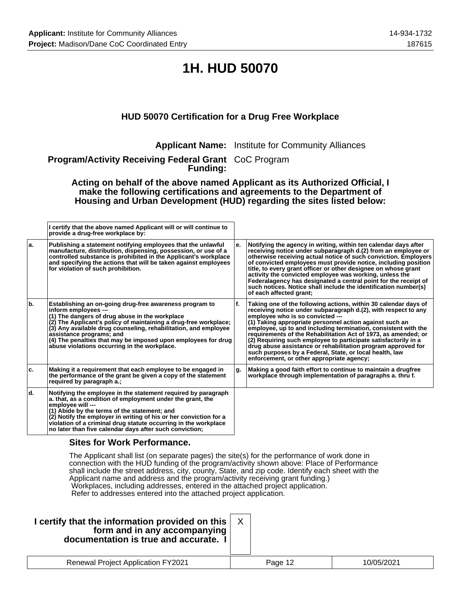# **1H. HUD 50070**

# **HUD 50070 Certification for a Drug Free Workplace**

**Applicant Name:** Institute for Community Alliances

**Program/Activity Receiving Federal Grant** CoC Program **Funding:**

**Acting on behalf of the above named Applicant as its Authorized Official, I make the following certifications and agreements to the Department of Housing and Urban Development (HUD) regarding the sites listed below:**

|     | I certify that the above named Applicant will or will continue to<br>provide a drug-free workplace by:                                                                                                                                                                                                                                                                                                                |    |                                                                                                                                                                                                                                                                                                                                                                                                                                                                                                                                                                                                                |
|-----|-----------------------------------------------------------------------------------------------------------------------------------------------------------------------------------------------------------------------------------------------------------------------------------------------------------------------------------------------------------------------------------------------------------------------|----|----------------------------------------------------------------------------------------------------------------------------------------------------------------------------------------------------------------------------------------------------------------------------------------------------------------------------------------------------------------------------------------------------------------------------------------------------------------------------------------------------------------------------------------------------------------------------------------------------------------|
| la. | Publishing a statement notifying employees that the unlawful<br>manufacture, distribution, dispensing, possession, or use of a<br>controlled substance is prohibited in the Applicant's workplace<br>and specifying the actions that will be taken against employees<br>for violation of such prohibition.                                                                                                            | е. | Notifying the agency in writing, within ten calendar days after<br>receiving notice under subparagraph d.(2) from an employee or<br>otherwise receiving actual notice of such conviction. Employers<br>of convicted employees must provide notice, including position<br>title, to every grant officer or other designee on whose grant<br>activity the convicted employee was working, unless the<br>Federalagency has designated a central point for the receipt of<br>such notices. Notice shall include the identification number(s)<br>of each affected grant;                                            |
| b.  | Establishing an on-going drug-free awareness program to<br>inform employees ---<br>(1) The dangers of drug abuse in the workplace<br>(2) The Applicant's policy of maintaining a drug-free workplace;<br>(3) Any available drug counseling, rehabilitation, and employee<br>assistance programs; and<br>(4) The penalties that may be imposed upon employees for drug<br>abuse violations occurring in the workplace. | f. | Taking one of the following actions, within 30 calendar days of<br>receiving notice under subparagraph d.(2), with respect to any<br>employee who is so convicted ---<br>(1) Taking appropriate personnel action against such an<br>employee, up to and including termination, consistent with the<br>requirements of the Rehabilitation Act of 1973, as amended; or<br>(2) Requiring such employee to participate satisfactorily in a<br>drug abuse assistance or rehabilitation program approved for<br>such purposes by a Federal, State, or local health, law<br>enforcement, or other appropriate agency; |
| ۱c. | Making it a requirement that each employee to be engaged in<br>the performance of the grant be given a copy of the statement<br>required by paragraph a.;                                                                                                                                                                                                                                                             | g. | Making a good faith effort to continue to maintain a drugfree<br>workplace through implementation of paragraphs a. thru f.                                                                                                                                                                                                                                                                                                                                                                                                                                                                                     |
| d.  | Notifying the employee in the statement required by paragraph<br>a. that, as a condition of employment under the grant, the<br>employee will ---<br>(1) Abide by the terms of the statement; and<br>(2) Notify the employer in writing of his or her conviction for a<br>violation of a criminal drug statute occurring in the workplace<br>no later than five calendar days after such conviction;                   |    |                                                                                                                                                                                                                                                                                                                                                                                                                                                                                                                                                                                                                |

### **Sites for Work Performance.**

The Applicant shall list (on separate pages) the site(s) for the performance of work done in connection with the HUD funding of the program/activity shown above: Place of Performance shall include the street address, city, county, State, and zip code. Identify each sheet with the Applicant name and address and the program/activity receiving grant funding.) Workplaces, including addresses, entered in the attached project application. Refer to addresses entered into the attached project application.

| I certify that the information provided on this $ $<br>form and in any accompanying<br>documentation is true and accurate. I |         |            |
|------------------------------------------------------------------------------------------------------------------------------|---------|------------|
| <b>Renewal Project Application FY2021</b>                                                                                    | Page 12 | 10/05/2021 |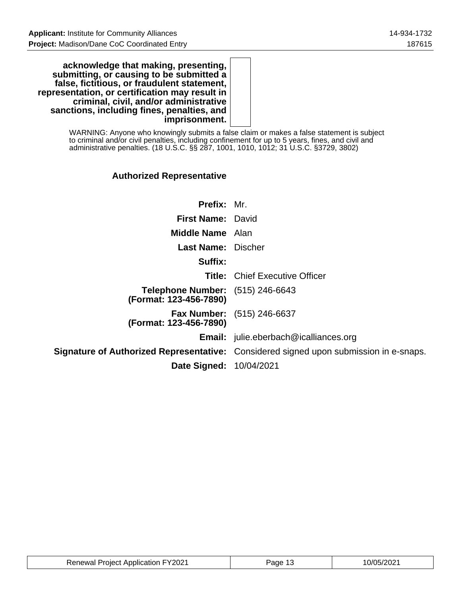**acknowledge that making, presenting, submitting, or causing to be submitted a false, fictitious, or fraudulent statement, representation, or certification may result in criminal, civil, and/or administrative sanctions, including fines, penalties, and imprisonment.**

> WARNING: Anyone who knowingly submits a false claim or makes a false statement is subject to criminal and/or civil penalties, including confinement for up to 5 years, fines, and civil and administrative penalties. (18 U.S.C. §§ 287, 1001, 1010, 1012; 31 U.S.C. §3729, 3802)

# **Authorized Representative**

| <b>Prefix: Mr.</b>                                         |                                                                                              |
|------------------------------------------------------------|----------------------------------------------------------------------------------------------|
| <b>First Name: David</b>                                   |                                                                                              |
| <b>Middle Name</b> Alan                                    |                                                                                              |
| <b>Last Name: Discher</b>                                  |                                                                                              |
| Suffix:                                                    |                                                                                              |
|                                                            | <b>Title:</b> Chief Executive Officer                                                        |
| Telephone Number: (515) 246-6643<br>(Format: 123-456-7890) |                                                                                              |
| (Format: 123-456-7890)                                     | <b>Fax Number:</b> (515) 246-6637                                                            |
|                                                            | <b>Email:</b> julie.eberbach@icalliances.org                                                 |
|                                                            | <b>Signature of Authorized Representative:</b> Considered signed upon submission in e-snaps. |
| <b>Date Signed: 10/04/2021</b>                             |                                                                                              |

| <b>Renewal Project Application FY2021</b> | age | 0/05/2021 |
|-------------------------------------------|-----|-----------|
|-------------------------------------------|-----|-----------|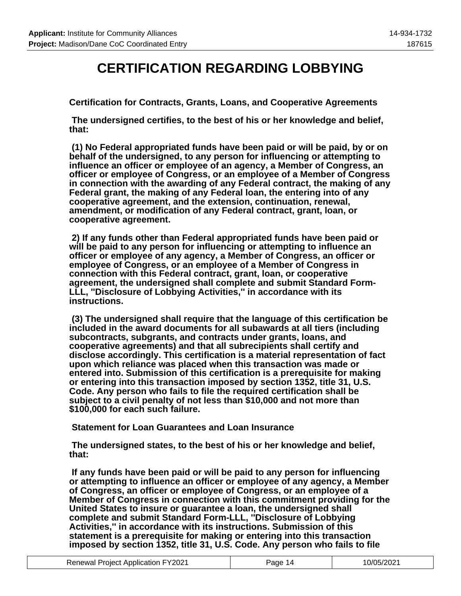# **CERTIFICATION REGARDING LOBBYING**

**Certification for Contracts, Grants, Loans, and Cooperative Agreements**

 **The undersigned certifies, to the best of his or her knowledge and belief, that:**

 **(1) No Federal appropriated funds have been paid or will be paid, by or on behalf of the undersigned, to any person for influencing or attempting to influence an officer or employee of an agency, a Member of Congress, an officer or employee of Congress, or an employee of a Member of Congress in connection with the awarding of any Federal contract, the making of any Federal grant, the making of any Federal loan, the entering into of any cooperative agreement, and the extension, continuation, renewal, amendment, or modification of any Federal contract, grant, loan, or cooperative agreement.**

 **2) If any funds other than Federal appropriated funds have been paid or will be paid to any person for influencing or attempting to influence an officer or employee of any agency, a Member of Congress, an officer or employee of Congress, or an employee of a Member of Congress in connection with this Federal contract, grant, loan, or cooperative agreement, the undersigned shall complete and submit Standard Form-LLL, ''Disclosure of Lobbying Activities,'' in accordance with its instructions.**

 **(3) The undersigned shall require that the language of this certification be included in the award documents for all subawards at all tiers (including subcontracts, subgrants, and contracts under grants, loans, and cooperative agreements) and that all subrecipients shall certify and disclose accordingly. This certification is a material representation of fact upon which reliance was placed when this transaction was made or entered into. Submission of this certification is a prerequisite for making or entering into this transaction imposed by section 1352, title 31, U.S. Code. Any person who fails to file the required certification shall be subject to a civil penalty of not less than \$10,000 and not more than \$100,000 for each such failure.**

 **Statement for Loan Guarantees and Loan Insurance**

 **The undersigned states, to the best of his or her knowledge and belief, that:**

 **If any funds have been paid or will be paid to any person for influencing or attempting to influence an officer or employee of any agency, a Member of Congress, an officer or employee of Congress, or an employee of a Member of Congress in connection with this commitment providing for the United States to insure or guarantee a loan, the undersigned shall complete and submit Standard Form-LLL, ''Disclosure of Lobbying Activities,'' in accordance with its instructions. Submission of this statement is a prerequisite for making or entering into this transaction imposed by section 1352, title 31, U.S. Code. Any person who fails to file**

| <b>Renewal Project Application FY2021</b> | Page 14 | 10/05/2021 |
|-------------------------------------------|---------|------------|
|-------------------------------------------|---------|------------|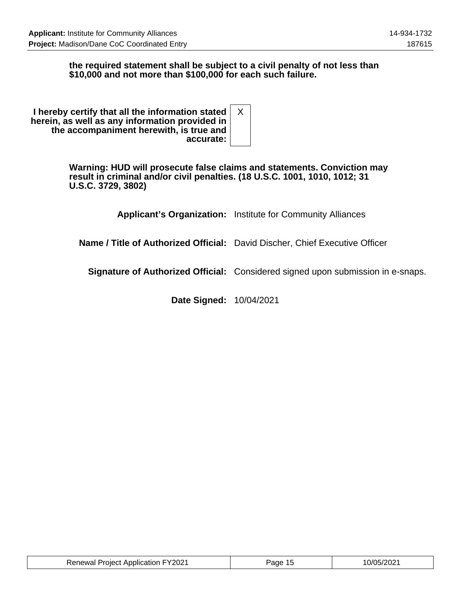### **the required statement shall be subject to a civil penalty of not less than \$10,000 and not more than \$100,000 for each such failure.**

**I hereby certify that all the information stated herein, as well as any information provided in the accompaniment herewith, is true and accurate:** X

> **Warning: HUD will prosecute false claims and statements. Conviction may result in criminal and/or civil penalties. (18 U.S.C. 1001, 1010, 1012; 31 U.S.C. 3729, 3802)**

> > **Applicant's Organization:** Institute for Community Alliances

**Name / Title of Authorized Official:** David Discher, Chief Executive Officer

**Signature of Authorized Official:** Considered signed upon submission in e-snaps.

**Date Signed:** 10/04/2021

| <b>Renewal Project Application FY2021</b> | Page 15 | 10/05/2021 |
|-------------------------------------------|---------|------------|
|-------------------------------------------|---------|------------|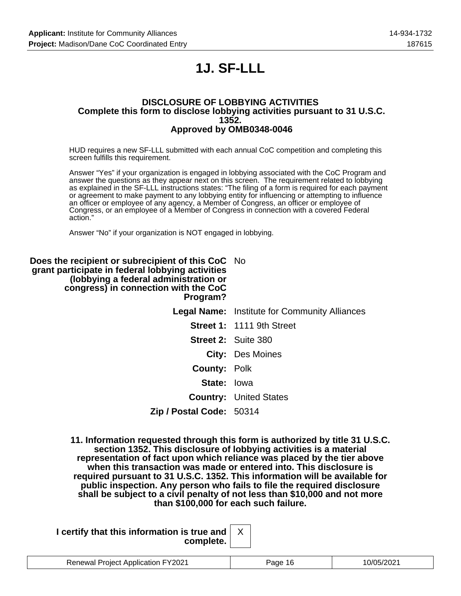# **1J. SF-LLL**

#### **DISCLOSURE OF LOBBYING ACTIVITIES Complete this form to disclose lobbying activities pursuant to 31 U.S.C. 1352. Approved by OMB0348-0046**

HUD requires a new SF-LLL submitted with each annual CoC competition and completing this screen fulfills this requirement.

Answer "Yes" if your organization is engaged in lobbying associated with the CoC Program and answer the questions as they appear next on this screen. The requirement related to lobbying as explained in the SF-LLL instructions states: "The filing of a form is required for each payment or agreement to make payment to any lobbying entity for influencing or attempting to influence an officer or employee of any agency, a Member of Congress, an officer or employee of Congress, or an employee of a Member of Congress in connection with a covered Federal action."

Answer "No" if your organization is NOT engaged in lobbying.

| Does the recipient or subrecipient of this CoC No<br>grant participate in federal lobbying activities<br>(lobbying a federal administration or<br>congress) in connection with the CoC<br>Program? |                                                      |
|----------------------------------------------------------------------------------------------------------------------------------------------------------------------------------------------------|------------------------------------------------------|
|                                                                                                                                                                                                    | <b>Legal Name:</b> Institute for Community Alliances |
|                                                                                                                                                                                                    | Street 1: 1111 9th Street                            |
|                                                                                                                                                                                                    | <b>Street 2: Suite 380</b>                           |
|                                                                                                                                                                                                    | <b>City: Des Moines</b>                              |
| <b>County: Polk</b>                                                                                                                                                                                |                                                      |
| <b>State: lowa</b>                                                                                                                                                                                 |                                                      |
|                                                                                                                                                                                                    | <b>Country: United States</b>                        |
| Zip / Postal Code: 50314                                                                                                                                                                           |                                                      |
|                                                                                                                                                                                                    |                                                      |

**11. Information requested through this form is authorized by title 31 U.S.C. section 1352. This disclosure of lobbying activities is a material representation of fact upon which reliance was placed by the tier above when this transaction was made or entered into. This disclosure is required pursuant to 31 U.S.C. 1352. This information will be available for public inspection. Any person who fails to file the required disclosure shall be subject to a civil penalty of not less than \$10,000 and not more than \$100,000 for each such failure.**

| I certify that this information is true and $\vert$ |  |
|-----------------------------------------------------|--|
| complete. $ $                                       |  |

| ۰. |  |
|----|--|

 $\overline{X}$ 

| <b>Renewal Project Application FY2021</b> | Page | ∽/ລ∪ພ<br>10/05/2<br><br>wz |
|-------------------------------------------|------|----------------------------|
|-------------------------------------------|------|----------------------------|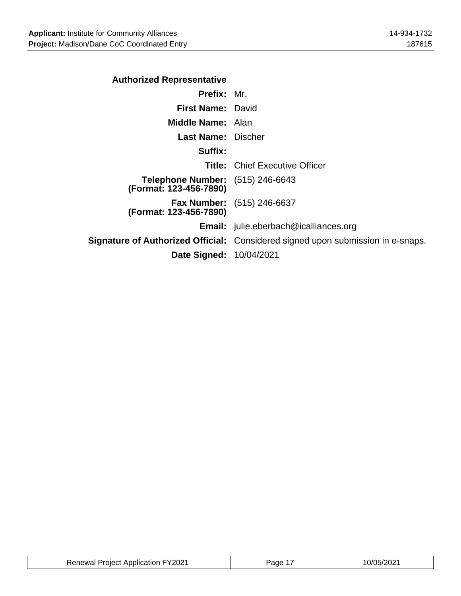| <b>Authorized Representative</b>                                  |                                                                                 |
|-------------------------------------------------------------------|---------------------------------------------------------------------------------|
| <b>Prefix: Mr.</b>                                                |                                                                                 |
| <b>First Name: David</b>                                          |                                                                                 |
| <b>Middle Name:</b> Alan                                          |                                                                                 |
| <b>Last Name: Discher</b>                                         |                                                                                 |
| Suffix:                                                           |                                                                                 |
|                                                                   | <b>Title: Chief Executive Officer</b>                                           |
| <b>Telephone Number:</b> (515) 246-6643<br>(Format: 123-456-7890) |                                                                                 |
| (Format: 123-456-7890)                                            | <b>Fax Number:</b> (515) 246-6637                                               |
|                                                                   | <b>Email:</b> julie.eberbach@icalliances.org                                    |
|                                                                   | Signature of Authorized Official: Considered signed upon submission in e-snaps. |
| <b>Date Signed: 10/04/2021</b>                                    |                                                                                 |

| <b>Renewal Project Application FY2021</b> | Page | 0/05/2021 |
|-------------------------------------------|------|-----------|
|-------------------------------------------|------|-----------|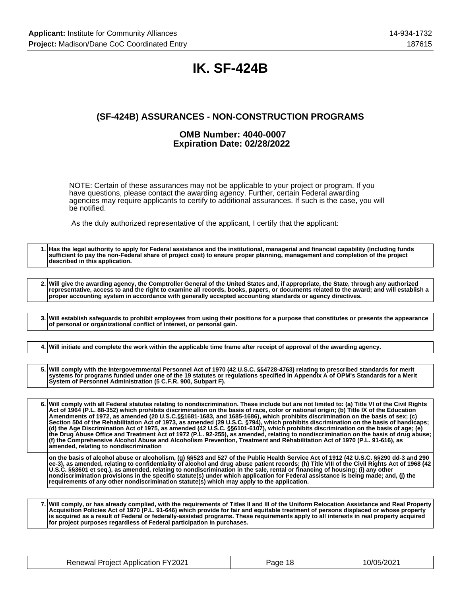# **IK. SF-424B**

### **(SF-424B) ASSURANCES - NON-CONSTRUCTION PROGRAMS**

#### **OMB Number: 4040-0007 Expiration Date: 02/28/2022**

NOTE: Certain of these assurances may not be applicable to your project or program. If you have questions, please contact the awarding agency. Further, certain Federal awarding agencies may require applicants to certify to additional assurances. If such is the case, you will be notified.

As the duly authorized representative of the applicant, I certify that the applicant:

**1. Has the legal authority to apply for Federal assistance and the institutional, managerial and financial capability (including funds sufficient to pay the non-Federal share of project cost) to ensure proper planning, management and completion of the project described in this application. 2. Will give the awarding agency, the Comptroller General of the United States and, if appropriate, the State, through any authorized representative, access to and the right to examine all records, books, papers, or documents related to the award; and will establish a proper accounting system in accordance with generally accepted accounting standards or agency directives. 3. Will establish safeguards to prohibit employees from using their positions for a purpose that constitutes or presents the appearance of personal or organizational conflict of interest, or personal gain.**

**4. Will initiate and complete the work within the applicable time frame after receipt of approval of the awarding agency.**

**5. Will comply with the Intergovernmental Personnel Act of 1970 (42 U.S.C. §§4728-4763) relating to prescribed standards for merit systems for programs funded under one of the 19 statutes or regulations specified in Appendix A of OPM's Standards for a Merit System of Personnel Administration (5 C.F.R. 900, Subpart F).**

**6. Will comply with all Federal statutes relating to nondiscrimination. These include but are not limited to: (a) Title VI of the Civil Rights Act of 1964 (P.L. 88-352) which prohibits discrimination on the basis of race, color or national origin; (b) Title IX of the Education Amendments of 1972, as amended (20 U.S.C.§§1681-1683, and 1685-1686), which prohibits discrimination on the basis of sex; (c) Section 504 of the Rehabilitation Act of 1973, as amended (29 U.S.C. §794), which prohibits discrimination on the basis of handicaps; (d) the Age Discrimination Act of 1975, as amended (42 U.S.C. §§6101-6107), which prohibits discrimination on the basis of age; (e) the Drug Abuse Office and Treatment Act of 1972 (P.L. 92-255), as amended, relating to nondiscrimination on the basis of drug abuse; (f) the Comprehensive Alcohol Abuse and Alcoholism Prevention, Treatment and Rehabilitation Act of 1970 (P.L. 91-616), as amended, relating to nondiscrimination**

**on the basis of alcohol abuse or alcoholism, (g) §§523 and 527 of the Public Health Service Act of 1912 (42 U.S.C. §§290 dd-3 and 290 ee-3), as amended, relating to confidentiality of alcohol and drug abuse patient records; (h) Title VIII of the Civil Rights Act of 1968 (42 U.S.C. §§3601 et seq.), as amended, relating to nondiscrimination in the sale, rental or financing of housing; (i) any other nondiscrimination provisions in the specific statute(s) under which application for Federal assistance is being made; and, (j) the requirements of any other nondiscrimination statute(s) which may apply to the application.**

**7. Will comply, or has already complied, with the requirements of Titles II and III of the Uniform Relocation Assistance and Real Property Acquisition Policies Act of 1970 (P.L. 91-646) which provide for fair and equitable treatment of persons displaced or whose property is acquired as a result of Federal or federally-assisted programs. These requirements apply to all interests in real property acquired for project purposes regardless of Federal participation in purchases.**

| <b>Renewal Project Application FY2021</b> | Page 18 | 10/05/2021 |
|-------------------------------------------|---------|------------|
|-------------------------------------------|---------|------------|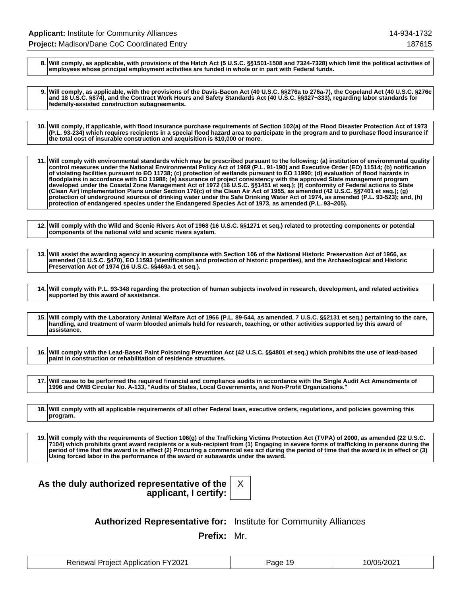**8. Will comply, as applicable, with provisions of the Hatch Act (5 U.S.C. §§1501-1508 and 7324-7328) which limit the political activities of employees whose principal employment activities are funded in whole or in part with Federal funds.**

**9. Will comply, as applicable, with the provisions of the Davis-Bacon Act (40 U.S.C. §§276a to 276a-7), the Copeland Act (40 U.S.C. §276c and 18 U.S.C. §874), and the Contract Work Hours and Safety Standards Act (40 U.S.C. §§327¬333), regarding labor standards for federally-assisted construction subagreements.**

**10. Will comply, if applicable, with flood insurance purchase requirements of Section 102(a) of the Flood Disaster Protection Act of 1973 (P.L. 93-234) which requires recipients in a special flood hazard area to participate in the program and to purchase flood insurance if the total cost of insurable construction and acquisition is \$10,000 or more.**

**11. Will comply with environmental standards which may be prescribed pursuant to the following: (a) institution of environmental quality control measures under the National Environmental Policy Act of 1969 (P.L. 91-190) and Executive Order (EO) 11514; (b) notification of violating facilities pursuant to EO 11738; (c) protection of wetlands pursuant to EO 11990; (d) evaluation of flood hazards in floodplains in accordance with EO 11988; (e) assurance of project consistency with the approved State management program developed under the Coastal Zone Management Act of 1972 (16 U.S.C. §§1451 et seq.); (f) conformity of Federal actions to State (Clean Air) Implementation Plans under Section 176(c) of the Clean Air Act of 1955, as amended (42 U.S.C. §§7401 et seq.); (g) protection of underground sources of drinking water under the Safe Drinking Water Act of 1974, as amended (P.L. 93-523); and, (h) protection of endangered species under the Endangered Species Act of 1973, as amended (P.L. 93¬205).**

**12. Will comply with the Wild and Scenic Rivers Act of 1968 (16 U.S.C. §§1271 et seq.) related to protecting components or potential components of the national wild and scenic rivers system.**

**13. Will assist the awarding agency in assuring compliance with Section 106 of the National Historic Preservation Act of 1966, as amended (16 U.S.C. §470), EO 11593 (identification and protection of historic properties), and the Archaeological and Historic Preservation Act of 1974 (16 U.S.C. §§469a-1 et seq.).**

**14. Will comply with P.L. 93-348 regarding the protection of human subjects involved in research, development, and related activities supported by this award of assistance.**

**15. Will comply with the Laboratory Animal Welfare Act of 1966 (P.L. 89-544, as amended, 7 U.S.C. §§2131 et seq.) pertaining to the care, handling, and treatment of warm blooded animals held for research, teaching, or other activities supported by this award of assistance.**

**16. Will comply with the Lead-Based Paint Poisoning Prevention Act (42 U.S.C. §§4801 et seq.) which prohibits the use of lead-based paint in construction or rehabilitation of residence structures.**

**17. Will cause to be performed the required financial and compliance audits in accordance with the Single Audit Act Amendments of 1996 and OMB Circular No. A-133, "Audits of States, Local Governments, and Non-Profit Organizations."**

**18. Will comply with all applicable requirements of all other Federal laws, executive orders, regulations, and policies governing this program.**

**19. Will comply with the requirements of Section 106(g) of the Trafficking Victims Protection Act (TVPA) of 2000, as amended (22 U.S.C. 7104) which prohibits grant award recipients or a sub-recipient from (1) Engaging in severe forms of trafficking in persons during the period of time that the award is in effect (2) Procuring a commercial sex act during the period of time that the award is in effect or (3) Using forced labor in the performance of the award or subawards under the award.**

### **As the duly authorized representative of the applicant, I certify:**



**Authorized Representative for:** Institute for Community Alliances

**Prefix:** Mr.

| <b>Renewal Project Application FY2021</b> | Page 19 | 10/05/2021 |
|-------------------------------------------|---------|------------|
|-------------------------------------------|---------|------------|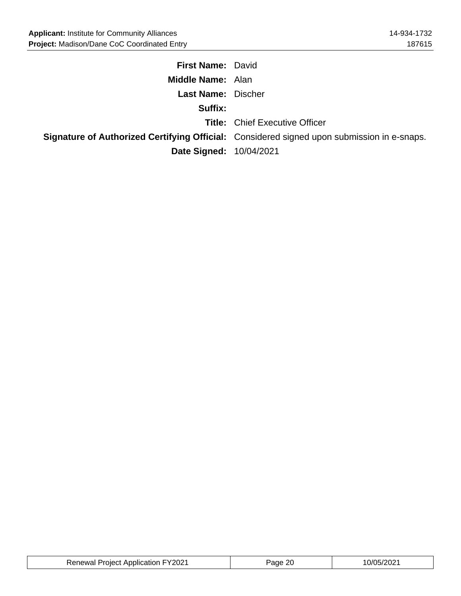| <b>First Name: David</b>  |                                                                                                   |
|---------------------------|---------------------------------------------------------------------------------------------------|
| Middle Name: Alan         |                                                                                                   |
| <b>Last Name: Discher</b> |                                                                                                   |
| Suffix:                   |                                                                                                   |
|                           | <b>Title: Chief Executive Officer</b>                                                             |
|                           | <b>Signature of Authorized Certifying Official:</b> Considered signed upon submission in e-snaps. |
| Date Signed: 10/04/2021   |                                                                                                   |

| <b>Renewal Project Application FY2021</b> | ane, | 0/05/2021 |
|-------------------------------------------|------|-----------|
|-------------------------------------------|------|-----------|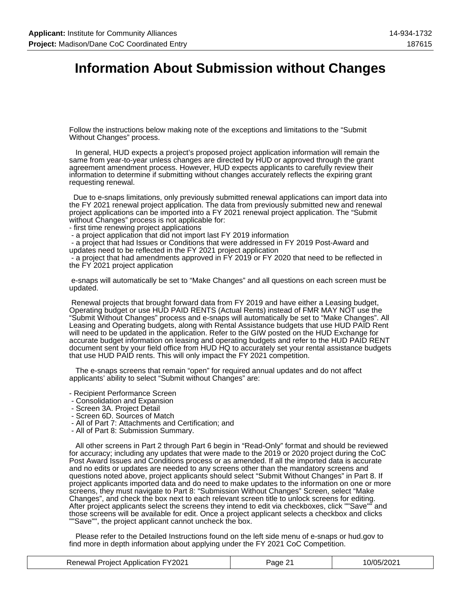# **Information About Submission without Changes**

Follow the instructions below making note of the exceptions and limitations to the "Submit Without Changes" process.

 In general, HUD expects a project's proposed project application information will remain the same from year-to-year unless changes are directed by HUD or approved through the grant agreement amendment process. However, HUD expects applicants to carefully review their information to determine if submitting without changes accurately reflects the expiring grant requesting renewal.

 Due to e-snaps limitations, only previously submitted renewal applications can import data into the FY 2021 renewal project application. The data from previously submitted new and renewal project applications can be imported into a FY 2021 renewal project application. The "Submit without Changes" process is not applicable for:

- first time renewing project applications
- a project application that did not import last FY 2019 information

 - a project that had Issues or Conditions that were addressed in FY 2019 Post-Award and updates need to be reflected in the FY 2021 project application

 - a project that had amendments approved in FY 2019 or FY 2020 that need to be reflected in the FY 2021 project application

 e-snaps will automatically be set to "Make Changes" and all questions on each screen must be updated.

 Renewal projects that brought forward data from FY 2019 and have either a Leasing budget, Operating budget or use HUD PAID RENTS (Actual Rents) instead of FMR MAY NOT use the "Submit Without Changes" process and e-snaps will automatically be set to "Make Changes". All Leasing and Operating budgets, along with Rental Assistance budgets that use HUD PAID Rent will need to be updated in the application. Refer to the GIW posted on the HUD Exchange for accurate budget information on leasing and operating budgets and refer to the HUD PAID RENT document sent by your field office from HUD HQ to accurately set your rental assistance budgets that use HUD PAID rents. This will only impact the FY 2021 competition.

 The e-snaps screens that remain "open" for required annual updates and do not affect applicants' ability to select "Submit without Changes" are:

- Recipient Performance Screen
- Consolidation and Expansion
- Screen 3A. Project Detail
- Screen 6D. Sources of Match
- All of Part 7: Attachments and Certification; and
- All of Part 8: Submission Summary.

 All other screens in Part 2 through Part 6 begin in "Read-Only" format and should be reviewed for accuracy; including any updates that were made to the 2019 or 2020 project during the CoC Post Award Issues and Conditions process or as amended. If all the imported data is accurate and no edits or updates are needed to any screens other than the mandatory screens and questions noted above, project applicants should select "Submit Without Changes" in Part 8. If project applicants imported data and do need to make updates to the information on one or more screens, they must navigate to Part 8: "Submission Without Changes" Screen, select "Make Changes", and check the box next to each relevant screen title to unlock screens for editing. After project applicants select the screens they intend to edit via checkboxes, click ""Save"" and those screens will be available for edit. Once a project applicant selects a checkbox and clicks ""Save"", the project applicant cannot uncheck the box.

 Please refer to the Detailed Instructions found on the left side menu of e-snaps or hud.gov to find more in depth information about applying under the FY 2021 CoC Competition.

| <b>Renewal Project Application FY2021</b> | Page 21 | 10/05/2021 |
|-------------------------------------------|---------|------------|
|-------------------------------------------|---------|------------|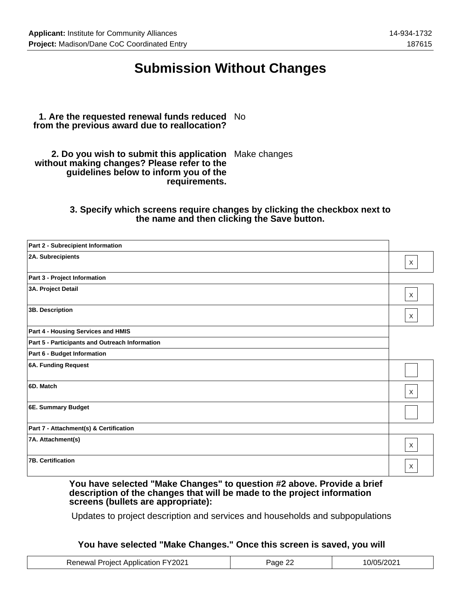# **Submission Without Changes**

#### **1. Are the requested renewal funds reduced** No **from the previous award due to reallocation?**

**2. Do you wish to submit this application** Make changes **without making changes? Please refer to the guidelines below to inform you of the requirements.**

### **3. Specify which screens require changes by clicking the checkbox next to the name and then clicking the Save button.**

| Part 2 - Subrecipient Information              |          |
|------------------------------------------------|----------|
| 2A. Subrecipients                              | $\times$ |
| Part 3 - Project Information                   |          |
| 3A. Project Detail                             | X        |
| 3B. Description                                | X        |
| Part 4 - Housing Services and HMIS             |          |
| Part 5 - Participants and Outreach Information |          |
| Part 6 - Budget Information                    |          |
| 6A. Funding Request                            |          |
| 6D. Match                                      | X        |
| 6E. Summary Budget                             |          |
| Part 7 - Attachment(s) & Certification         |          |
| 7A. Attachment(s)                              | $\times$ |
| <b>7B. Certification</b>                       | X        |

#### **You have selected "Make Changes" to question #2 above. Provide a brief description of the changes that will be made to the project information screens (bullets are appropriate):**

Updates to project description and services and households and subpopulations

### **You have selected "Make Changes." Once this screen is saved, you will**

| <b>Renewal Project Application FY2021</b> | Page 22 | 10/05/2021 |
|-------------------------------------------|---------|------------|
|-------------------------------------------|---------|------------|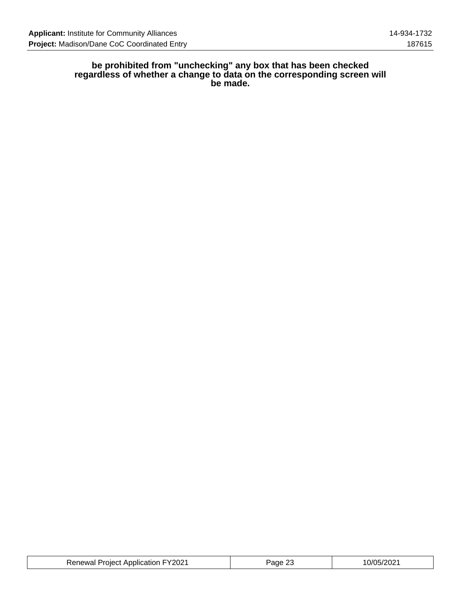#### **be prohibited from "unchecking" any box that has been checked regardless of whether a change to data on the corresponding screen will be made.**

| <b>Renewal Project Application FY2021</b> | Page 23 | 10/05/2021 |
|-------------------------------------------|---------|------------|
|-------------------------------------------|---------|------------|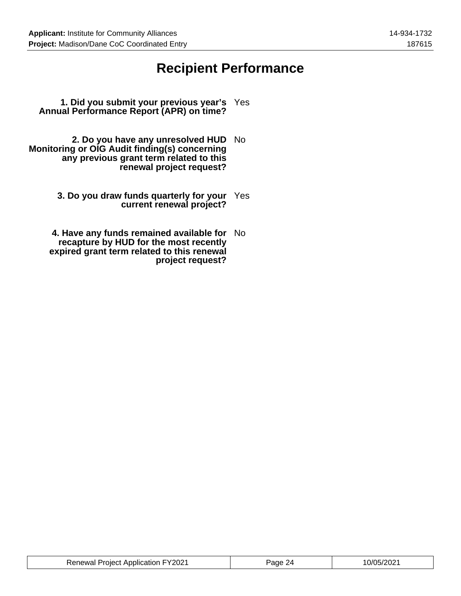# **Recipient Performance**

- **1. Did you submit your previous year's** Yes **Annual Performance Report (APR) on time?**
- **2. Do you have any unresolved HUD** No **Monitoring or OIG Audit finding(s) concerning any previous grant term related to this renewal project request?**
	- **3. Do you draw funds quarterly for your** Yes **current renewal project?**
	- **4. Have any funds remained available for** No **recapture by HUD for the most recently expired grant term related to this renewal project request?**

| <b>Renewal Project Application FY2021</b> | Page 24 | 10/05/2021 |
|-------------------------------------------|---------|------------|
|-------------------------------------------|---------|------------|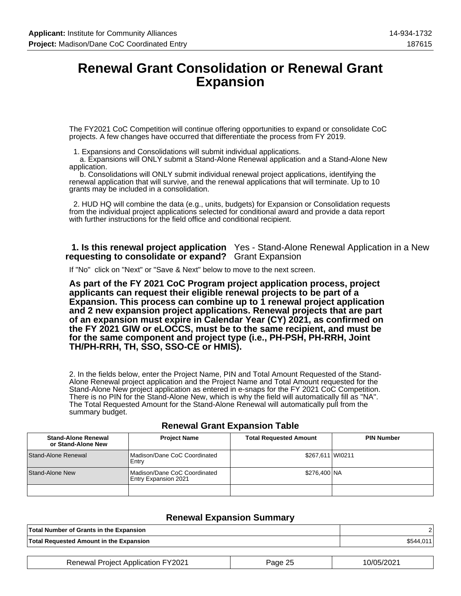# **Renewal Grant Consolidation or Renewal Grant Expansion**

The FY2021 CoC Competition will continue offering opportunities to expand or consolidate CoC projects. A few changes have occurred that differentiate the process from FY 2019.

1. Expansions and Consolidations will submit individual applications.

 a. Expansions will ONLY submit a Stand-Alone Renewal application and a Stand-Alone New application.

 b. Consolidations will ONLY submit individual renewal project applications, identifying the renewal application that will survive, and the renewal applications that will terminate. Up to 10 grants may be included in a consolidation.

 2. HUD HQ will combine the data (e.g., units, budgets) for Expansion or Consolidation requests from the individual project applications selected for conditional award and provide a data report with further instructions for the field office and conditional recipient.

**1. Is this renewal project application** Yes - Stand-Alone Renewal Application in a New **requesting to consolidate or expand?** Grant Expansion

If "No" click on "Next" or "Save & Next" below to move to the next screen.

**As part of the FY 2021 CoC Program project application process, project applicants can request their eligible renewal projects to be part of a Expansion. This process can combine up to 1 renewal project application and 2 new expansion project applications. Renewal projects that are part of an expansion must expire in Calendar Year (CY) 2021, as confirmed on the FY 2021 GIW or eLOCCS, must be to the same recipient, and must be for the same component and project type (i.e., PH-PSH, PH-RRH, Joint TH/PH-RRH, TH, SSO, SSO-CE or HMIS).**

2. In the fields below, enter the Project Name, PIN and Total Amount Requested of the Stand-Alone Renewal project application and the Project Name and Total Amount requested for the Stand-Alone New project application as entered in e-snaps for the FY 2021 CoC Competition. There is no PIN for the Stand-Alone New, which is why the field will automatically fill as "NA". The Total Requested Amount for the Stand-Alone Renewal will automatically pull from the summary budget.

| <b>Stand-Alone Renewal</b><br>or Stand-Alone New | <b>Project Name</b>                                         | <b>Total Requested Amount</b> | <b>PIN Number</b> |
|--------------------------------------------------|-------------------------------------------------------------|-------------------------------|-------------------|
| Stand-Alone Renewal                              | Madison/Dane CoC Coordinated<br>Entry                       | \$267,611 WI0211              |                   |
| <b>Stand-Alone New</b>                           | Madison/Dane CoC Coordinated<br><b>Entry Expansion 2021</b> | \$276,400 NA                  |                   |
|                                                  |                                                             |                               |                   |

#### **Renewal Grant Expansion Table**

### **Renewal Expansion Summary**

| Total Number of Grants in the Expansion |       |
|-----------------------------------------|-------|
| Total Requested Amount in the Expansion | \$544 |
|                                         |       |

| <b>Renewal Project Application FY2021</b> | Page 25 | 10/05/2021 |
|-------------------------------------------|---------|------------|
|-------------------------------------------|---------|------------|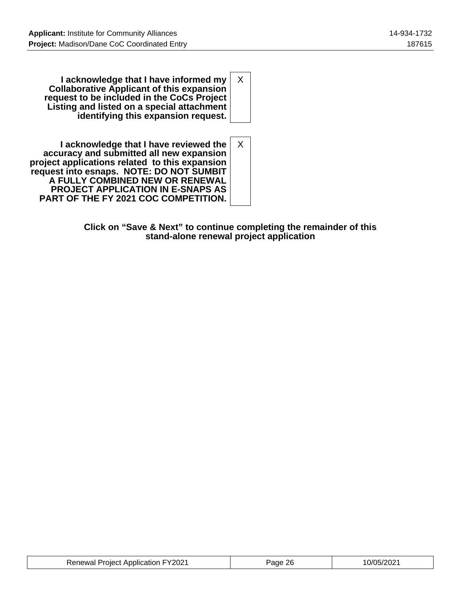**I acknowledge that I have informed my Collaborative Applicant of this expansion request to be included in the CoCs Project Listing and listed on a special attachment identifying this expansion request.** X

**I acknowledge that I have reviewed the accuracy and submitted all new expansion project applications related to this expansion request into esnaps. NOTE: DO NOT SUMBIT A FULLY COMBINED NEW OR RENEWAL PROJECT APPLICATION IN E-SNAPS AS PART OF THE FY 2021 COC COMPETITION.** X

> **Click on "Save & Next" to continue completing the remainder of this stand-alone renewal project application**

| <b>Renewal Project Application FY2021</b> | Page 26 | 10/05/2021 |
|-------------------------------------------|---------|------------|
|-------------------------------------------|---------|------------|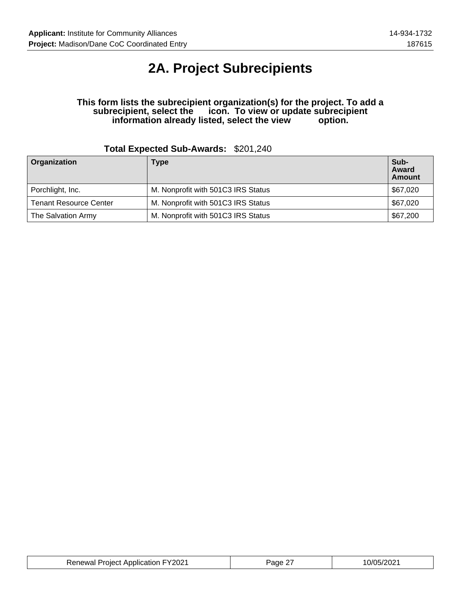# **2A. Project Subrecipients**

### **This form lists the subrecipient organization(s) for the project. To add a subrecipient, select the icon. To view or update subrecipient information already listed, select the view option.**

| Organization                  | Type                               | Sub-<br>Award<br><b>Amount</b> |
|-------------------------------|------------------------------------|--------------------------------|
| Porchlight, Inc.              | M. Nonprofit with 501C3 IRS Status | \$67,020                       |
| <b>Tenant Resource Center</b> | M. Nonprofit with 501C3 IRS Status | \$67,020                       |
| The Salvation Army            | M. Nonprofit with 501C3 IRS Status | \$67,200                       |

### **Total Expected Sub-Awards:** \$201,240

| <b>Coulon FY2021</b><br><b>Project Application</b><br>Renewal | י ∩מ? | $\sim$ $\sim$ $\sim$ |
|---------------------------------------------------------------|-------|----------------------|
|---------------------------------------------------------------|-------|----------------------|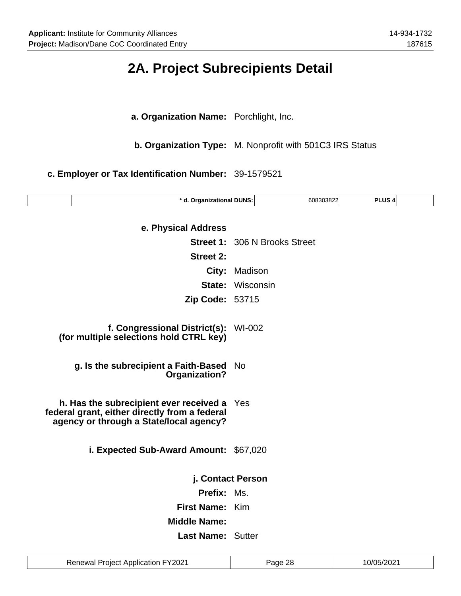# **2A. Project Subrecipients Detail**

**a. Organization Name:** Porchlight, Inc.

**b. Organization Type:** M. Nonprofit with 501C3 IRS Status

**c. Employer or Tax Identification Number:** 39-1579521

| * d. Organizational DUNS:                                                                                                               |           | 608303822                            | <b>PLUS4</b> |  |
|-----------------------------------------------------------------------------------------------------------------------------------------|-----------|--------------------------------------|--------------|--|
|                                                                                                                                         |           |                                      |              |  |
| e. Physical Address                                                                                                                     |           |                                      |              |  |
|                                                                                                                                         |           | <b>Street 1: 306 N Brooks Street</b> |              |  |
| <b>Street 2:</b>                                                                                                                        |           |                                      |              |  |
| City:                                                                                                                                   | Madison   |                                      |              |  |
| State:                                                                                                                                  | Wisconsin |                                      |              |  |
| <b>Zip Code: 53715</b>                                                                                                                  |           |                                      |              |  |
| f. Congressional District(s):<br>(for multiple selections hold CTRL key)                                                                | WI-002    |                                      |              |  |
| g. Is the subrecipient a Faith-Based                                                                                                    | No.       |                                      |              |  |
| Organization?                                                                                                                           |           |                                      |              |  |
| h. Has the subrecipient ever received a Yes<br>federal grant, either directly from a federal<br>agency or through a State/local agency? |           |                                      |              |  |
| i. Expected Sub-Award Amount: \$67,020                                                                                                  |           |                                      |              |  |
|                                                                                                                                         |           |                                      |              |  |
| j. Contact Person                                                                                                                       |           |                                      |              |  |
| <b>Prefix: Ms.</b>                                                                                                                      |           |                                      |              |  |
| First Name: Kim                                                                                                                         |           |                                      |              |  |
| <b>Middle Name:</b>                                                                                                                     |           |                                      |              |  |
| <b>Last Name: Sutter</b>                                                                                                                |           |                                      |              |  |
|                                                                                                                                         |           |                                      |              |  |

Renewal Project Application FY2021 | Page 28 | 10/05/2021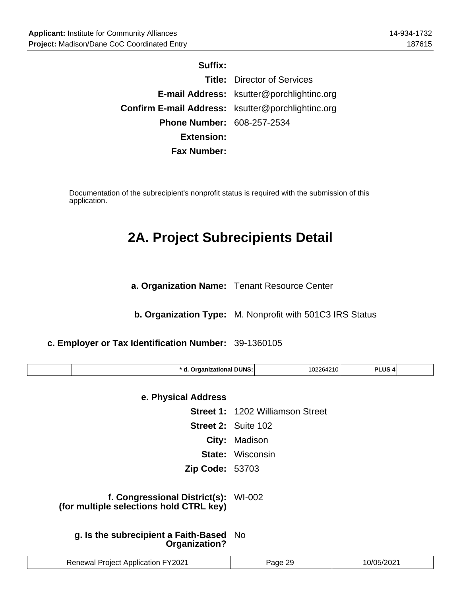| Suffix:                                                  |                                                  |
|----------------------------------------------------------|--------------------------------------------------|
|                                                          | <b>Title:</b> Director of Services               |
|                                                          | <b>E-mail Address:</b> ksutter@porchlightinc.org |
| <b>Confirm E-mail Address:</b> ksutter@porchlightinc.org |                                                  |
| <b>Phone Number: 608-257-2534</b>                        |                                                  |
| <b>Extension:</b>                                        |                                                  |
| <b>Fax Number:</b>                                       |                                                  |

Documentation of the subrecipient's nonprofit status is required with the submission of this application.

# **2A. Project Subrecipients Detail**

**a. Organization Name:** Tenant Resource Center

**b. Organization Type:** M. Nonprofit with 501C3 IRS Status

### **c. Employer or Tax Identification Number:** 39-1360105

| * d. Organizational DUNS:                                                       | 102264210                               | <b>PLUS4</b> |  |
|---------------------------------------------------------------------------------|-----------------------------------------|--------------|--|
| e. Physical Address                                                             |                                         |              |  |
|                                                                                 | <b>Street 1: 1202 Williamson Street</b> |              |  |
|                                                                                 | <b>Street 2: Suite 102</b>              |              |  |
|                                                                                 | City: Madison                           |              |  |
|                                                                                 | <b>State: Wisconsin</b>                 |              |  |
| <b>Zip Code: 53703</b>                                                          |                                         |              |  |
| f. Congressional District(s): WI-002<br>(for multiple selections hold CTRL key) |                                         |              |  |
| g. Is the subrecipient a Faith-Based No<br>Organization?                        |                                         |              |  |
| <b>Renewal Project Application FY2021</b>                                       | Page 29                                 | 10/05/2021   |  |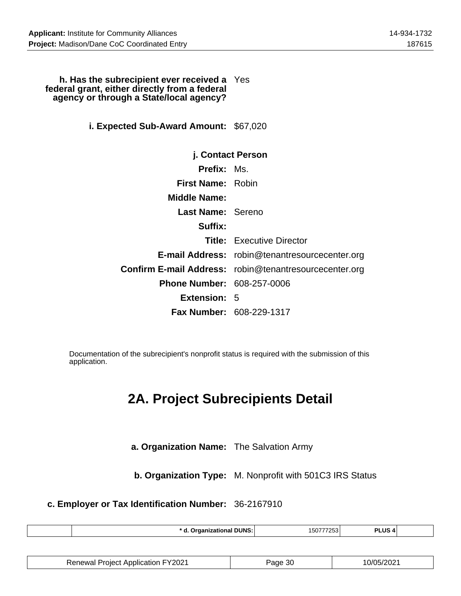| h. Has the subrecipient ever received a Yes<br>federal grant, either directly from a federal<br>agency or through a State/local agency? |                                                        |
|-----------------------------------------------------------------------------------------------------------------------------------------|--------------------------------------------------------|
| i. Expected Sub-Award Amount: \$67,020                                                                                                  |                                                        |
|                                                                                                                                         | j. Contact Person                                      |
| <b>Prefix: Ms.</b>                                                                                                                      |                                                        |
| <b>First Name: Robin</b>                                                                                                                |                                                        |
| <b>Middle Name:</b>                                                                                                                     |                                                        |
| <b>Last Name: Sereno</b>                                                                                                                |                                                        |
| Suffix:                                                                                                                                 |                                                        |
|                                                                                                                                         | <b>Title: Executive Director</b>                       |
|                                                                                                                                         | E-mail Address: robin@tenantresourcecenter.org         |
|                                                                                                                                         | Confirm E-mail Address: robin@tenantresourcecenter.org |
| <b>Phone Number: 608-257-0006</b>                                                                                                       |                                                        |
| <b>Extension: 5</b>                                                                                                                     |                                                        |
|                                                                                                                                         | <b>Fax Number: 608-229-1317</b>                        |

Documentation of the subrecipient's nonprofit status is required with the submission of this application.

# **2A. Project Subrecipients Detail**

**a. Organization Name:** The Salvation Army

**b. Organization Type:** M. Nonprofit with 501C3 IRS Status

**c. Employer or Tax Identification Number:** 36-2167910

| י<br>____<br>$\sim$ $\sim$ |  |
|----------------------------|--|

| <b>Renewal Project Application FY2021</b> | Page 30 | 0/05/2021 |
|-------------------------------------------|---------|-----------|
|-------------------------------------------|---------|-----------|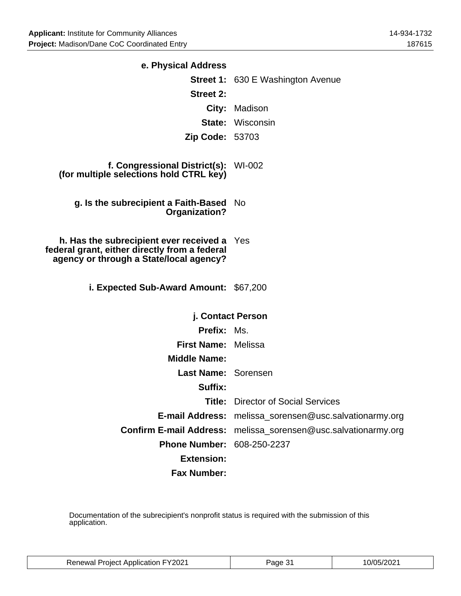| e. Physical Address                                                                                                                             |                                          |
|-------------------------------------------------------------------------------------------------------------------------------------------------|------------------------------------------|
|                                                                                                                                                 | <b>Street 1: 630 E Washington Avenue</b> |
| <b>Street 2:</b>                                                                                                                                |                                          |
|                                                                                                                                                 | <b>City: Madison</b>                     |
|                                                                                                                                                 | <b>State: Wisconsin</b>                  |
| <b>Zip Code: 53703</b>                                                                                                                          |                                          |
| f. Congressional District(s): WI-002<br>(for multiple selections hold CTRL key)                                                                 |                                          |
| g. Is the subrecipient a Faith-Based<br>Organization?                                                                                           | - No                                     |
| h. Has the subrecipient ever received a $\gamma$ es<br>federal grant, either directly from a federal<br>agency or through a State/local agency? |                                          |
| i. Expected Sub-Award Amount: \$67,200                                                                                                          |                                          |
|                                                                                                                                                 | j. Contact Person                        |
| <b>Prefix: Ms.</b>                                                                                                                              |                                          |
| <b>First Name: Melissa</b>                                                                                                                      |                                          |
| <b>Middle Name:</b>                                                                                                                             |                                          |
| Last Name: Sorensen                                                                                                                             |                                          |
| Suffix:                                                                                                                                         |                                          |
| Title:                                                                                                                                          | <b>Director of Social Services</b>       |
| <b>E-mail Address:</b>                                                                                                                          | melissa_sorensen@usc.salvationarmy.org   |
| <b>Confirm E-mail Address:</b>                                                                                                                  | melissa_sorensen@usc.salvationarmy.org   |
| <b>Phone Number:</b>                                                                                                                            | 608-250-2237                             |
| <b>Extension:</b>                                                                                                                               |                                          |
| <b>Fax Number:</b>                                                                                                                              |                                          |

Documentation of the subrecipient's nonprofit status is required with the submission of this application.

| <b>Renewal Project Application FY2021</b> | <sup>9</sup> aɑe 31 | 10/05/2021 |
|-------------------------------------------|---------------------|------------|
|-------------------------------------------|---------------------|------------|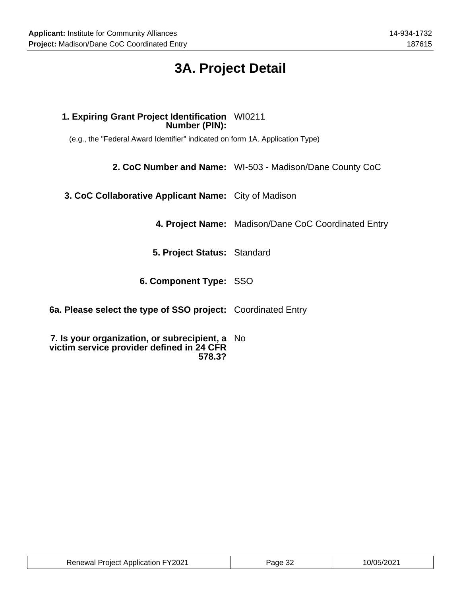# **3A. Project Detail**

### **1. Expiring Grant Project Identification** WI0211 **Number (PIN):**

(e.g., the "Federal Award Identifier" indicated on form 1A. Application Type)

**2. CoC Number and Name:** WI-503 - Madison/Dane County CoC

**3. CoC Collaborative Applicant Name:** City of Madison

**4. Project Name:** Madison/Dane CoC Coordinated Entry

**5. Project Status:** Standard

**6. Component Type:** SSO

**6a. Please select the type of SSO project:** Coordinated Entry

**7. Is your organization, or subrecipient, a** No **victim service provider defined in 24 CFR 578.3?**

| <b>Renewal Project Application FY2021</b> | Page 32 | 10/05/2021 |
|-------------------------------------------|---------|------------|
|-------------------------------------------|---------|------------|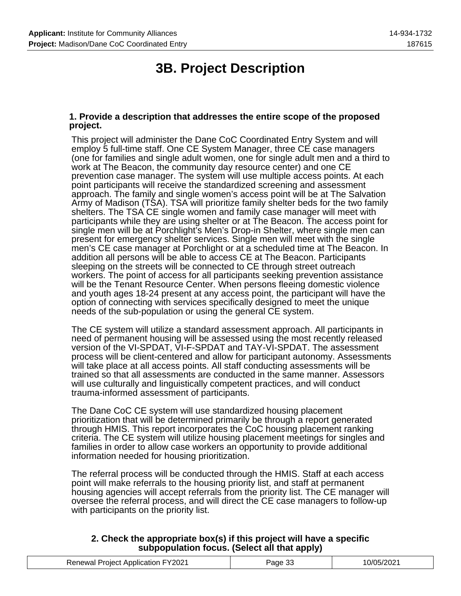# **3B. Project Description**

### **1. Provide a description that addresses the entire scope of the proposed project.**

This project will administer the Dane CoC Coordinated Entry System and will employ 5 full-time staff. One CE System Manager, three CE case managers (one for families and single adult women, one for single adult men and a third to work at The Beacon, the community day resource center) and one CE prevention case manager. The system will use multiple access points. At each point participants will receive the standardized screening and assessment approach. The family and single women's access point will be at The Salvation Army of Madison (TSA). TSA will prioritize family shelter beds for the two family shelters. The TSA CE single women and family case manager will meet with participants while they are using shelter or at The Beacon. The access point for single men will be at Porchlight's Men's Drop-in Shelter, where single men can present for emergency shelter services. Single men will meet with the single men's CE case manager at Porchlight or at a scheduled time at The Beacon. In addition all persons will be able to access CE at The Beacon. Participants sleeping on the streets will be connected to CE through street outreach workers. The point of access for all participants seeking prevention assistance will be the Tenant Resource Center. When persons fleeing domestic violence and youth ages 18-24 present at any access point, the participant will have the option of connecting with services specifically designed to meet the unique needs of the sub-population or using the general CE system.

The CE system will utilize a standard assessment approach. All participants in need of permanent housing will be assessed using the most recently released version of the VI-SPDAT, VI-F-SPDAT and TAY-VI-SPDAT. The assessment process will be client-centered and allow for participant autonomy. Assessments will take place at all access points. All staff conducting assessments will be trained so that all assessments are conducted in the same manner. Assessors will use culturally and linguistically competent practices, and will conduct trauma-informed assessment of participants.

The Dane CoC CE system will use standardized housing placement prioritization that will be determined primarily be through a report generated through HMIS. This report incorporates the CoC housing placement ranking criteria. The CE system will utilize housing placement meetings for singles and families in order to allow case workers an opportunity to provide additional information needed for housing prioritization.

The referral process will be conducted through the HMIS. Staff at each access point will make referrals to the housing priority list, and staff at permanent housing agencies will accept referrals from the priority list. The CE manager will oversee the referral process, and will direct the CE case managers to follow-up with participants on the priority list.

### **2. Check the appropriate box(s) if this project will have a specific subpopulation focus. (Select all that apply)**

| <b>Renewal Project Application FY2021</b> | Page 33 | 10/05/2021 |
|-------------------------------------------|---------|------------|
|-------------------------------------------|---------|------------|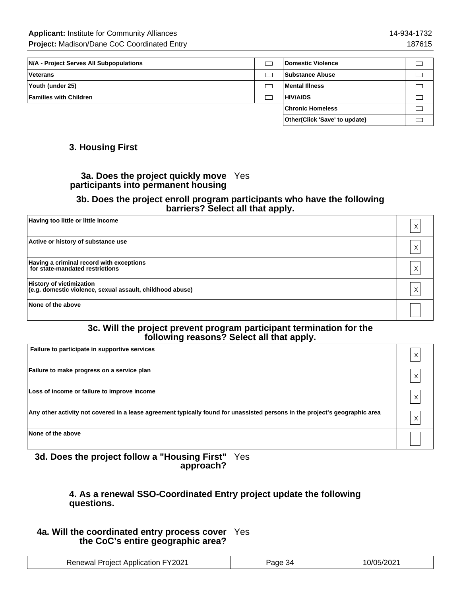| N/A - Project Serves All Subpopulations | <b>Domestic Violence</b>       |  |
|-----------------------------------------|--------------------------------|--|
| <b>Veterans</b>                         | <b>Substance Abuse</b>         |  |
| Youth (under 25)                        | Mental Illness                 |  |
| <b>Families with Children</b>           | <b>HIV/AIDS</b>                |  |
|                                         | <b>Chronic Homeless</b>        |  |
|                                         | Other (Click 'Save' to update) |  |

### **3. Housing First**

### **3a. Does the project quickly move** Yes **participants into permanent housing**

**3b. Does the project enroll program participants who have the following barriers? Select all that apply.**

| Having too little or little income                                                           | X |
|----------------------------------------------------------------------------------------------|---|
| Active or history of substance use                                                           | X |
| Having a criminal record with exceptions<br>for state-mandated restrictions                  | Χ |
| <b>History of victimization</b><br>(e.g. domestic violence, sexual assault, childhood abuse) | Χ |
| None of the above                                                                            |   |

#### **3c. Will the project prevent program participant termination for the following reasons? Select all that apply.**

| Failure to participate in supportive services                                                                               | х           |
|-----------------------------------------------------------------------------------------------------------------------------|-------------|
| Failure to make progress on a service plan                                                                                  | $\check{ }$ |
| Loss of income or failure to improve income                                                                                 |             |
| Any other activity not covered in a lease agreement typically found for unassisted persons in the project's geographic area | X           |
| None of the above                                                                                                           |             |

#### **3d. Does the project follow a "Housing First"** Yes **approach?**

### **4. As a renewal SSO-Coordinated Entry project update the following questions.**

#### **4a. Will the coordinated entry process cover** Yes **the CoC's entire geographic area?**

| <b>Renewal Project Application FY2021</b> | Page 34 | 10/05/2021 |
|-------------------------------------------|---------|------------|
|-------------------------------------------|---------|------------|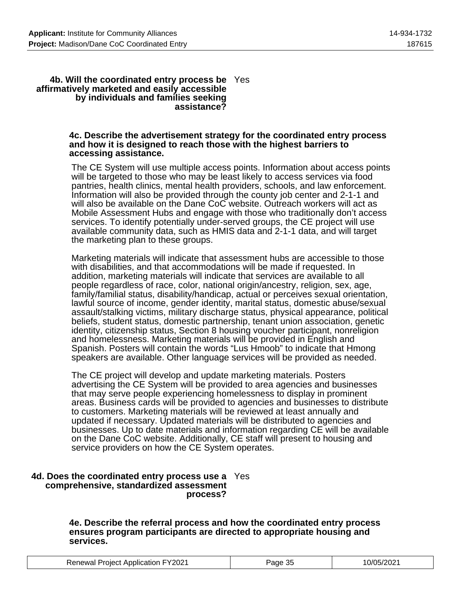#### **4b. Will the coordinated entry process be** Yes **affirmatively marketed and easily accessible by individuals and families seeking assistance?**

#### **4c. Describe the advertisement strategy for the coordinated entry process and how it is designed to reach those with the highest barriers to accessing assistance.**

The CE System will use multiple access points. Information about access points will be targeted to those who may be least likely to access services via food pantries, health clinics, mental health providers, schools, and law enforcement. Information will also be provided through the county job center and 2-1-1 and will also be available on the Dane CoC website. Outreach workers will act as Mobile Assessment Hubs and engage with those who traditionally don't access services. To identify potentially under-served groups, the CE project will use available community data, such as HMIS data and 2-1-1 data, and will target the marketing plan to these groups.

Marketing materials will indicate that assessment hubs are accessible to those with disabilities, and that accommodations will be made if requested. In addition, marketing materials will indicate that services are available to all people regardless of race, color, national origin/ancestry, religion, sex, age, family/familial status, disability/handicap, actual or perceives sexual orientation, lawful source of income, gender identity, marital status, domestic abuse/sexual assault/stalking victims, military discharge status, physical appearance, political beliefs, student status, domestic partnership, tenant union association, genetic identity, citizenship status, Section 8 housing voucher participant, nonreligion and homelessness. Marketing materials will be provided in English and Spanish. Posters will contain the words "Lus Hmoob" to indicate that Hmong speakers are available. Other language services will be provided as needed.

The CE project will develop and update marketing materials. Posters advertising the CE System will be provided to area agencies and businesses that may serve people experiencing homelessness to display in prominent areas. Business cards will be provided to agencies and businesses to distribute to customers. Marketing materials will be reviewed at least annually and updated if necessary. Updated materials will be distributed to agencies and businesses. Up to date materials and information regarding CE will be available on the Dane CoC website. Additionally, CE staff will present to housing and service providers on how the CE System operates.

### **4d. Does the coordinated entry process use a** Yes **comprehensive, standardized assessment process?**

**4e. Describe the referral process and how the coordinated entry process ensures program participants are directed to appropriate housing and services.**

| <b>Renewal Project Application FY2021</b> | Page 35 | 10/05/2021 |
|-------------------------------------------|---------|------------|
|-------------------------------------------|---------|------------|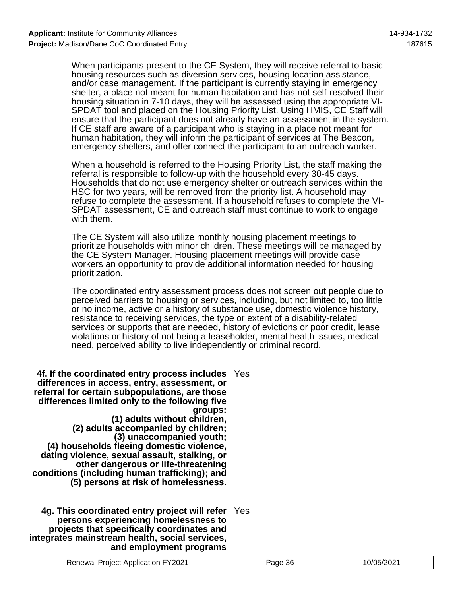When participants present to the CE System, they will receive referral to basic housing resources such as diversion services, housing location assistance, and/or case management. If the participant is currently staying in emergency shelter, a place not meant for human habitation and has not self-resolved their housing situation in 7-10 days, they will be assessed using the appropriate VI-SPDAT tool and placed on the Housing Priority List. Using HMIS, CE Staff will ensure that the participant does not already have an assessment in the system. If CE staff are aware of a participant who is staying in a place not meant for human habitation, they will inform the participant of services at The Beacon, emergency shelters, and offer connect the participant to an outreach worker.

When a household is referred to the Housing Priority List, the staff making the referral is responsible to follow-up with the household every 30-45 days. Households that do not use emergency shelter or outreach services within the HSC for two years, will be removed from the priority list. A household may refuse to complete the assessment. If a household refuses to complete the VI-SPDAT assessment, CE and outreach staff must continue to work to engage with them.

The CE System will also utilize monthly housing placement meetings to prioritize households with minor children. These meetings will be managed by the CE System Manager. Housing placement meetings will provide case workers an opportunity to provide additional information needed for housing prioritization.

The coordinated entry assessment process does not screen out people due to perceived barriers to housing or services, including, but not limited to, too little or no income, active or a history of substance use, domestic violence history, resistance to receiving services, the type or extent of a disability-related services or supports that are needed, history of evictions or poor credit, lease violations or history of not being a leaseholder, mental health issues, medical need, perceived ability to live independently or criminal record.

| 4f. If the coordinated entry process includes Yes<br>differences in access, entry, assessment, or<br>referral for certain subpopulations, are those<br>differences limited only to the following five<br>groups:<br>(1) adults without children,<br>(2) adults accompanied by children;<br>(3) unaccompanied youth;<br>(4) households fleeing domestic violence,<br>dating violence, sexual assault, stalking, or<br>other dangerous or life-threatening<br>conditions (including human trafficking); and<br>(5) persons at risk of homelessness. |  |
|---------------------------------------------------------------------------------------------------------------------------------------------------------------------------------------------------------------------------------------------------------------------------------------------------------------------------------------------------------------------------------------------------------------------------------------------------------------------------------------------------------------------------------------------------|--|
| 4g. This coordinated entry project will refer Yes<br>parcons experiencing hemologeness to                                                                                                                                                                                                                                                                                                                                                                                                                                                         |  |

**persons experiencing homelessness to projects that specifically coordinates and integrates mainstream health, social services, and employment programs**

| <b>Renewal Project Application FY2021</b> | Page 36 | 10/05/2021 |
|-------------------------------------------|---------|------------|
|-------------------------------------------|---------|------------|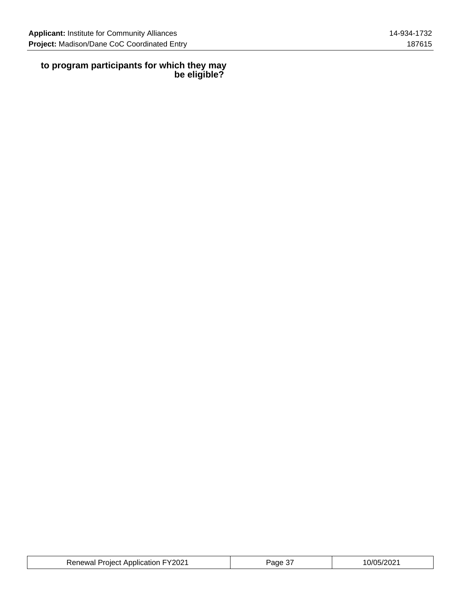### **to program participants for which they may be eligible?**

| <b>Renewal Project Application FY2021</b> | $P$ ade $2^-$ | 0/05/2021 |
|-------------------------------------------|---------------|-----------|
|-------------------------------------------|---------------|-----------|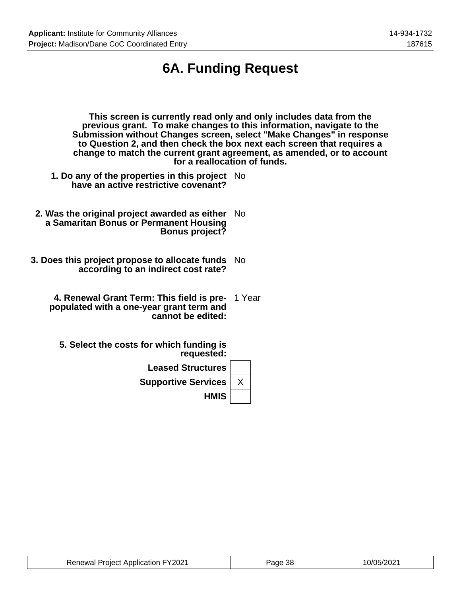# **6A. Funding Request**

**This screen is currently read only and only includes data from the previous grant. To make changes to this information, navigate to the Submission without Changes screen, select "Make Changes" in response to Question 2, and then check the box next each screen that requires a change to match the current grant agreement, as amended, or to account for a reallocation of funds. 1. Do any of the properties in this project** No **have an active restrictive covenant? 2. Was the original project awarded as either** No **a Samaritan Bonus or Permanent Housing Bonus project? 3. Does this project propose to allocate funds** No **according to an indirect cost rate? 4. Renewal Grant Term: This field is pre-**1 Year **populated with a one-year grant term and cannot be edited:**

**5. Select the costs for which funding is requested:**

> **Leased Structures Supportive Services** | X

> > **HMIS**

| <b>Renewal Project Application FY2021</b> | Page 38 | 10/05/2021 |
|-------------------------------------------|---------|------------|
|-------------------------------------------|---------|------------|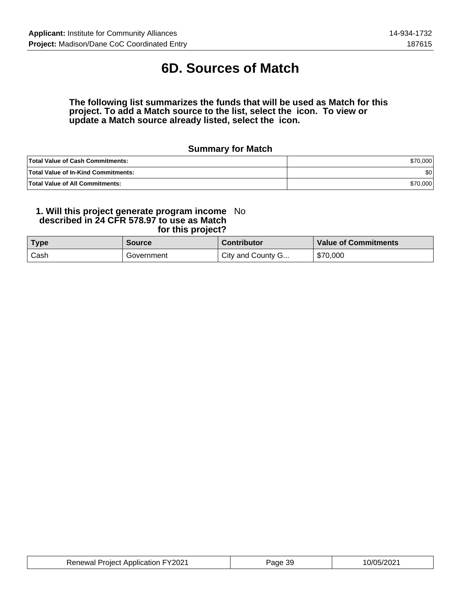# **6D. Sources of Match**

#### **The following list summarizes the funds that will be used as Match for this project. To add a Match source to the list, select the icon. To view or update a Match source already listed, select the icon.**

### **Summary for Match**

| <b>Total Value of Cash Commitments:</b>    | \$70,000 |
|--------------------------------------------|----------|
| <b>Total Value of In-Kind Commitments:</b> | \$0      |
| <b>Total Value of All Commitments:</b>     | \$70,000 |

#### **1. Will this project generate program income described in 24 CFR 578.97 to use as Match for this project?** No

| <b>Type</b> | <b>Source</b> | <b>Contributor</b> | <b>Value of Commitments</b> |
|-------------|---------------|--------------------|-----------------------------|
| Cash        | Government    | City and County G  | \$70,000                    |

| <b>Renewal Project Application FY2021</b> | Page 39 | 10/05/2021 |
|-------------------------------------------|---------|------------|
|-------------------------------------------|---------|------------|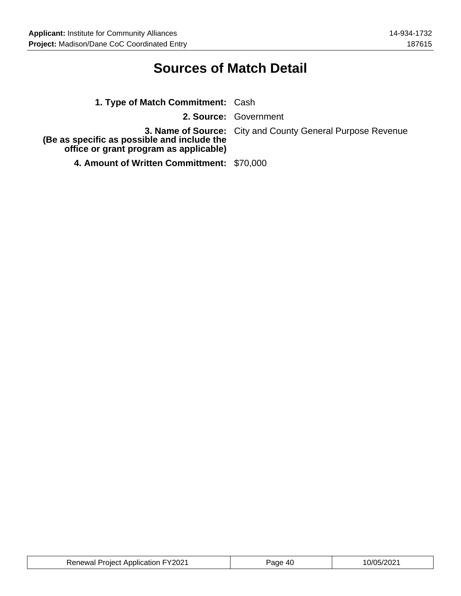# **Sources of Match Detail**

**1. Type of Match Commitment:** Cash **2. Source:** Government **3. Name of Source:** City and County General Purpose Revenue  **(Be as specific as possible and include the office or grant program as applicable)**

**4. Amount of Written Committment:** \$70,000

| <b>Renewal Project Application FY2021</b> | Δſ<br>'age | 10/05/2021 |
|-------------------------------------------|------------|------------|
|-------------------------------------------|------------|------------|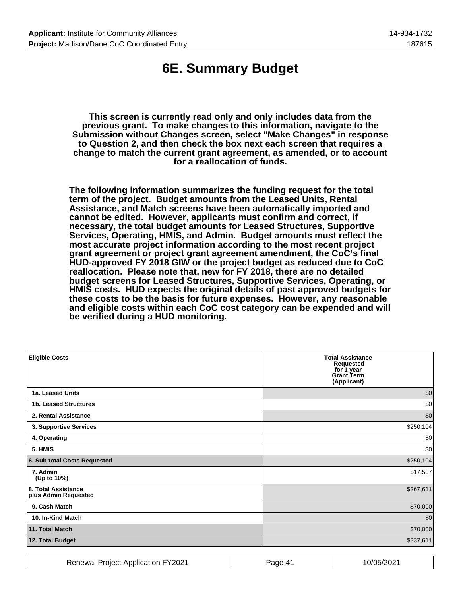# **6E. Summary Budget**

**This screen is currently read only and only includes data from the previous grant. To make changes to this information, navigate to the Submission without Changes screen, select "Make Changes" in response to Question 2, and then check the box next each screen that requires a change to match the current grant agreement, as amended, or to account for a reallocation of funds.**

**The following information summarizes the funding request for the total term of the project. Budget amounts from the Leased Units, Rental Assistance, and Match screens have been automatically imported and cannot be edited. However, applicants must confirm and correct, if necessary, the total budget amounts for Leased Structures, Supportive Services, Operating, HMIS, and Admin. Budget amounts must reflect the most accurate project information according to the most recent project grant agreement or project grant agreement amendment, the CoC's final HUD-approved FY 2018 GIW or the project budget as reduced due to CoC reallocation. Please note that, new for FY 2018, there are no detailed budget screens for Leased Structures, Supportive Services, Operating, or HMIS costs. HUD expects the original details of past approved budgets for these costs to be the basis for future expenses. However, any reasonable and eligible costs within each CoC cost category can be expended and will be verified during a HUD monitoring.**

| <b>Eligible Costs</b>                       | <b>Total Assistance</b><br><b>Requested</b><br>for 1 year<br><b>Grant Term</b><br>(Applicant) |
|---------------------------------------------|-----------------------------------------------------------------------------------------------|
| 1a. Leased Units                            | \$0                                                                                           |
| 1b. Leased Structures                       | \$0                                                                                           |
| 2. Rental Assistance                        | \$0                                                                                           |
| 3. Supportive Services                      | \$250,104                                                                                     |
| 4. Operating                                | \$0                                                                                           |
| 5. HMIS                                     | \$0                                                                                           |
| 6. Sub-total Costs Requested                | \$250,104                                                                                     |
| 7. Admin<br>(Up to 10%)                     | \$17,507                                                                                      |
| 8. Total Assistance<br>plus Admin Requested | \$267,611                                                                                     |
| 9. Cash Match                               | \$70,000                                                                                      |
| 10. In-Kind Match                           | \$0                                                                                           |
| 11. Total Match                             | \$70,000                                                                                      |
| 12. Total Budget                            | \$337,611                                                                                     |

| <b>Renewal Project Application FY2021</b> | Page 41 | 10/05/2021 |
|-------------------------------------------|---------|------------|
|-------------------------------------------|---------|------------|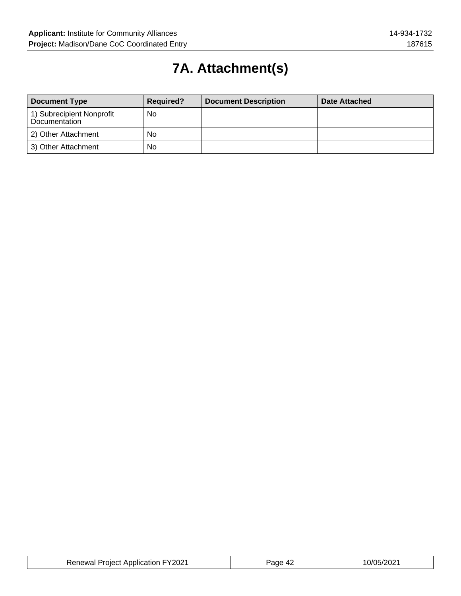# **7A. Attachment(s)**

| <b>Document Type</b>                       | <b>Required?</b> | <b>Document Description</b> | Date Attached |
|--------------------------------------------|------------------|-----------------------------|---------------|
| 1) Subrecipient Nonprofit<br>Documentation | No               |                             |               |
| 2) Other Attachment                        | No               |                             |               |
| 3) Other Attachment                        | No               |                             |               |

| <b>Renewal Project Application FY2021</b> | Page 42 | 10/05/2021 |
|-------------------------------------------|---------|------------|
|-------------------------------------------|---------|------------|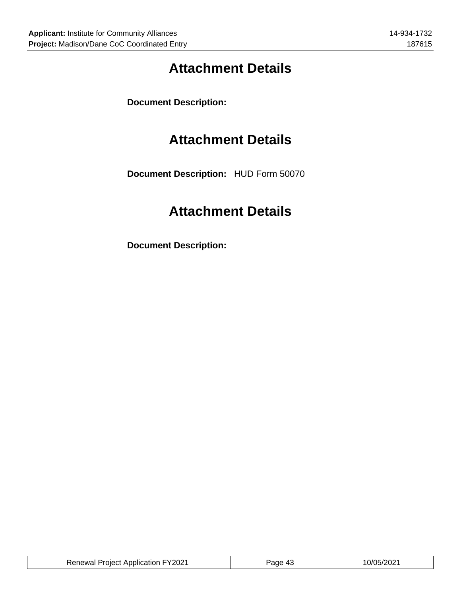# **Attachment Details**

**Document Description:**

# **Attachment Details**

**Document Description:** HUD Form 50070

# **Attachment Details**

**Document Description:**

| <b>Renewal Project Application FY2021</b> | Page 43 | 10/05/2021 |
|-------------------------------------------|---------|------------|
|                                           |         |            |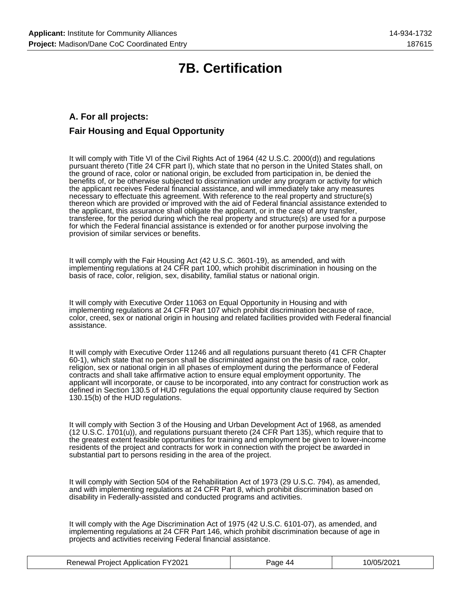# **7B. Certification**

# **A. For all projects: Fair Housing and Equal Opportunity**

It will comply with Title VI of the Civil Rights Act of 1964 (42 U.S.C. 2000(d)) and regulations pursuant thereto (Title 24 CFR part I), which state that no person in the United States shall, on the ground of race, color or national origin, be excluded from participation in, be denied the benefits of, or be otherwise subjected to discrimination under any program or activity for which the applicant receives Federal financial assistance, and will immediately take any measures necessary to effectuate this agreement. With reference to the real property and structure(s) thereon which are provided or improved with the aid of Federal financial assistance extended to the applicant, this assurance shall obligate the applicant, or in the case of any transfer, transferee, for the period during which the real property and structure(s) are used for a purpose for which the Federal financial assistance is extended or for another purpose involving the provision of similar services or benefits.

It will comply with the Fair Housing Act (42 U.S.C. 3601-19), as amended, and with implementing regulations at 24 CFR part 100, which prohibit discrimination in housing on the basis of race, color, religion, sex, disability, familial status or national origin.

It will comply with Executive Order 11063 on Equal Opportunity in Housing and with implementing regulations at 24 CFR Part 107 which prohibit discrimination because of race, color, creed, sex or national origin in housing and related facilities provided with Federal financial assistance.

It will comply with Executive Order 11246 and all regulations pursuant thereto (41 CFR Chapter 60-1), which state that no person shall be discriminated against on the basis of race, color, religion, sex or national origin in all phases of employment during the performance of Federal contracts and shall take affirmative action to ensure equal employment opportunity. The applicant will incorporate, or cause to be incorporated, into any contract for construction work as defined in Section 130.5 of HUD regulations the equal opportunity clause required by Section 130.15(b) of the HUD regulations.

It will comply with Section 3 of the Housing and Urban Development Act of 1968, as amended (12 U.S.C. 1701(u)), and regulations pursuant thereto (24 CFR Part 135), which require that to the greatest extent feasible opportunities for training and employment be given to lower-income residents of the project and contracts for work in connection with the project be awarded in substantial part to persons residing in the area of the project.

It will comply with Section 504 of the Rehabilitation Act of 1973 (29 U.S.C. 794), as amended, and with implementing regulations at 24 CFR Part 8, which prohibit discrimination based on disability in Federally-assisted and conducted programs and activities.

It will comply with the Age Discrimination Act of 1975 (42 U.S.C. 6101-07), as amended, and implementing regulations at 24 CFR Part 146, which prohibit discrimination because of age in projects and activities receiving Federal financial assistance.

| <b>Renewal Project Application FY2021</b> | Page 44 | 10/05/2021 |
|-------------------------------------------|---------|------------|
|-------------------------------------------|---------|------------|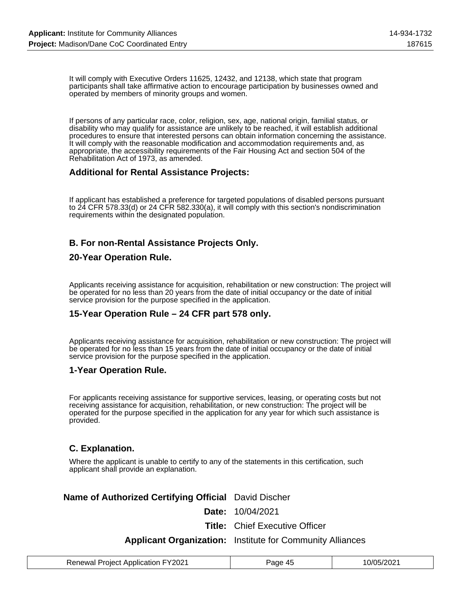It will comply with Executive Orders 11625, 12432, and 12138, which state that program participants shall take affirmative action to encourage participation by businesses owned and operated by members of minority groups and women.

If persons of any particular race, color, religion, sex, age, national origin, familial status, or disability who may qualify for assistance are unlikely to be reached, it will establish additional procedures to ensure that interested persons can obtain information concerning the assistance. It will comply with the reasonable modification and accommodation requirements and, as appropriate, the accessibility requirements of the Fair Housing Act and section 504 of the Rehabilitation Act of 1973, as amended.

### **Additional for Rental Assistance Projects:**

If applicant has established a preference for targeted populations of disabled persons pursuant to 24 CFR 578.33(d) or 24 CFR 582.330(a), it will comply with this section's nondiscrimination requirements within the designated population.

### **B. For non-Rental Assistance Projects Only.**

### **20-Year Operation Rule.**

Applicants receiving assistance for acquisition, rehabilitation or new construction: The project will be operated for no less than 20 years from the date of initial occupancy or the date of initial service provision for the purpose specified in the application.

### **15-Year Operation Rule – 24 CFR part 578 only.**

Applicants receiving assistance for acquisition, rehabilitation or new construction: The project will be operated for no less than 15 years from the date of initial occupancy or the date of initial service provision for the purpose specified in the application.

### **1-Year Operation Rule.**

For applicants receiving assistance for supportive services, leasing, or operating costs but not receiving assistance for acquisition, rehabilitation, or new construction: The project will be operated for the purpose specified in the application for any year for which such assistance is provided.

### **C. Explanation.**

Where the applicant is unable to certify to any of the statements in this certification, such applicant shall provide an explanation.

### **Name of Authorized Certifying Official** David Discher

**Date:** 10/04/2021

**Title:** Chief Executive Officer

### **Applicant Organization:** Institute for Community Alliances

| <b>Renewal Project Application FY2021</b> | Page 45 | 10/05/2021 |
|-------------------------------------------|---------|------------|
|-------------------------------------------|---------|------------|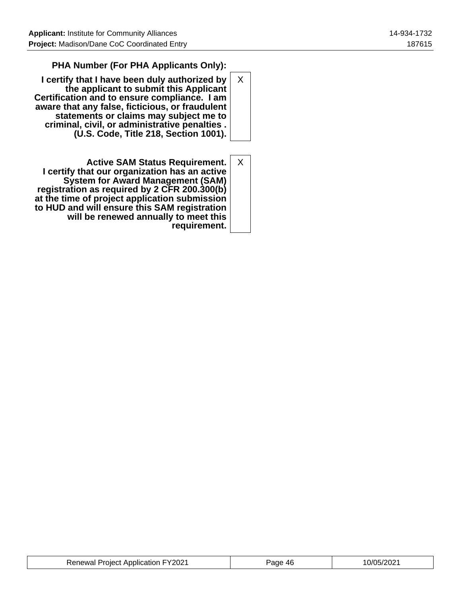# **PHA Number (For PHA Applicants Only):**

- **I certify that I have been duly authorized by the applicant to submit this Applicant Certification and to ensure compliance. I am aware that any false, ficticious, or fraudulent statements or claims may subject me to criminal, civil, or administrative penalties . (U.S. Code, Title 218, Section 1001).** X
- **Active SAM Status Requirement. I certify that our organization has an active System for Award Management (SAM) registration as required by 2 CFR 200.300(b) at the time of project application submission to HUD and will ensure this SAM registration will be renewed annually to meet this requirement.** X

| <b>Renewal Project Application FY2021</b> | Page 46 | 10/05/2021 |
|-------------------------------------------|---------|------------|
|-------------------------------------------|---------|------------|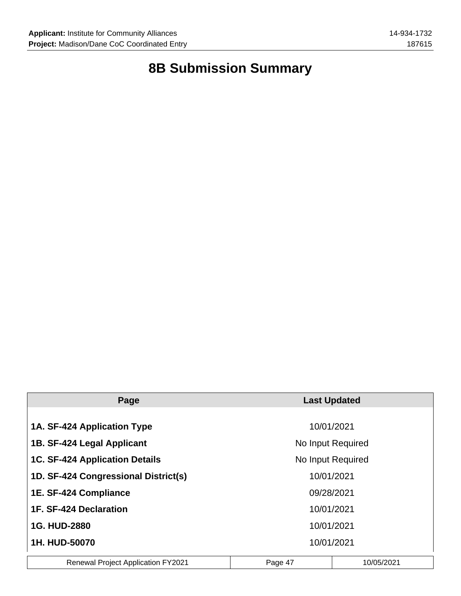# **8B Submission Summary**

| Page                                  | <b>Last Updated</b> |  |  |
|---------------------------------------|---------------------|--|--|
|                                       | 10/01/2021          |  |  |
| 1A. SF-424 Application Type           |                     |  |  |
| 1B. SF-424 Legal Applicant            | No Input Required   |  |  |
| <b>1C. SF-424 Application Details</b> | No Input Required   |  |  |
| 1D. SF-424 Congressional District(s)  | 10/01/2021          |  |  |
| 1E. SF-424 Compliance                 | 09/28/2021          |  |  |
| 1F. SF-424 Declaration                | 10/01/2021          |  |  |
| 1G. HUD-2880                          | 10/01/2021          |  |  |
| 1H. HUD-50070                         | 10/01/2021          |  |  |
|                                       |                     |  |  |

| <b>Renewal Project Application FY2021</b> | Page 47 | 10/05/2021 |
|-------------------------------------------|---------|------------|
|-------------------------------------------|---------|------------|